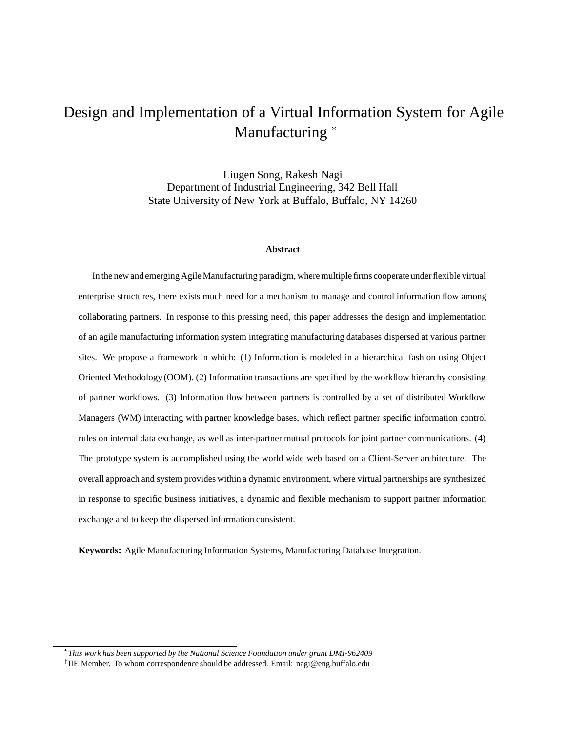# Design and Implementation of a Virtual Information System for Agile Manufacturing<sup>\*</sup>

Liugen Song, Rakesh Nagi<sup>†</sup> Department of Industrial Engineering, 342 Bell Hall State University of New York at Buffalo, Buffalo, NY 14260

#### **Abstract**

In the new and emerging Agile Manufacturing paradigm, where multiple firms cooperate under flexible virtual enterprise structures, there exists much need for a mechanism to manage and control information flow among collaborating partners. In response to this pressing need, this paper addresses the design and implementation of an agile manufacturing information system integrating manufacturing databases dispersed at various partner sites. We propose a framework in which: (1) Information is modeled in a hierarchical fashion using Object Oriented Methodology (OOM). (2) Information transactions are specified by the workflow hierarchy consisting of partner workflows. (3) Information flow between partners is controlled by a set of distributed Workflow Managers (WM) interacting with partner knowledge bases, which reflect partner specific information control rules on internal data exchange, as well as inter-partner mutual protocols for joint partner communications. (4) The prototype system is accomplished using the world wide web based on a Client-Server architecture. The overall approach and system provides within a dynamic environment, where virtual partnerships are synthesized in response to specific business initiatives, a dynamic and flexible mechanism to support partner information exchange and to keep the dispersed information consistent.

**Keywords:** Agile Manufacturing Information Systems, Manufacturing Database Integration.

*This work has been supported by the National Science Foundation under grant DMI-962409* <sup>T</sup>IIE Member. To whom correspondence should be addressed. Email: nagi@eng.buffalo.edu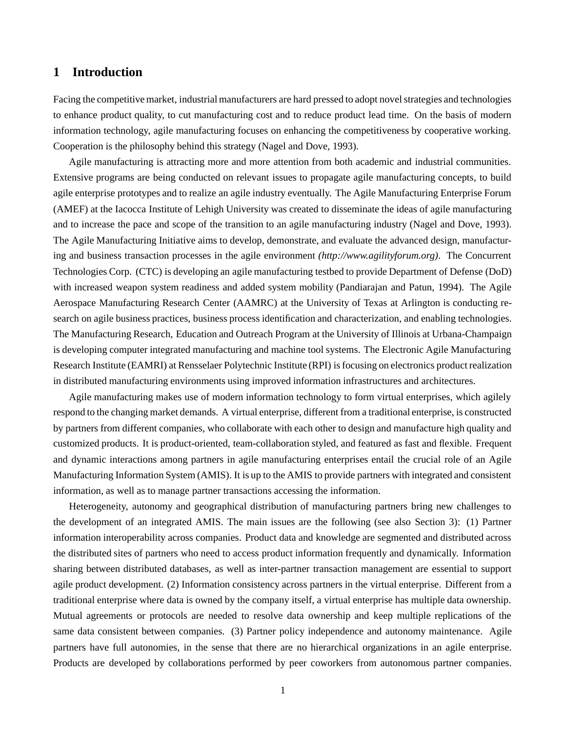# **1 Introduction**

Facing the competitive market, industrial manufacturers are hard pressed to adopt novel strategies and technologies to enhance product quality, to cut manufacturing cost and to reduce product lead time. On the basis of modern information technology, agile manufacturing focuses on enhancing the competitiveness by cooperative working. Cooperation is the philosophy behind this strategy (Nagel and Dove, 1993).

Agile manufacturing is attracting more and more attention from both academic and industrial communities. Extensive programs are being conducted on relevant issues to propagate agile manufacturing concepts, to build agile enterprise prototypes and to realize an agile industry eventually. The Agile Manufacturing Enterprise Forum (AMEF) at the Iacocca Institute of Lehigh University was created to disseminate the ideas of agile manufacturing and to increase the pace and scope of the transition to an agile manufacturing industry (Nagel and Dove, 1993). The Agile Manufacturing Initiative aims to develop, demonstrate, and evaluate the advanced design, manufacturing and business transaction processes in the agile environment *(http://www.agilityforum.org)*. The Concurrent Technologies Corp. (CTC) is developing an agile manufacturing testbed to provide Department of Defense (DoD) with increased weapon system readiness and added system mobility (Pandiarajan and Patun, 1994). The Agile Aerospace Manufacturing Research Center (AAMRC) at the University of Texas at Arlington is conducting research on agile business practices, business process identification and characterization, and enabling technologies. The Manufacturing Research, Education and Outreach Program at the University of Illinois at Urbana-Champaign is developing computer integrated manufacturing and machine tool systems. The Electronic Agile Manufacturing Research Institute (EAMRI) at Rensselaer Polytechnic Institute (RPI) is focusing on electronics product realization in distributed manufacturing environments using improved information infrastructures and architectures.

Agile manufacturing makes use of modern information technology to form virtual enterprises, which agilely respond to the changing market demands. A virtual enterprise, different from a traditional enterprise, is constructed by partners from different companies, who collaborate with each other to design and manufacture high quality and customized products. It is product-oriented, team-collaboration styled, and featured as fast and flexible. Frequent and dynamic interactions among partners in agile manufacturing enterprises entail the crucial role of an Agile Manufacturing Information System (AMIS). It is up to the AMIS to provide partners with integrated and consistent information, as well as to manage partner transactions accessing the information.

Heterogeneity, autonomy and geographical distribution of manufacturing partners bring new challenges to the development of an integrated AMIS. The main issues are the following (see also Section 3): (1) Partner information interoperability across companies. Product data and knowledge are segmented and distributed across the distributed sites of partners who need to access product information frequently and dynamically. Information sharing between distributed databases, as well as inter-partner transaction management are essential to support agile product development. (2) Information consistency across partners in the virtual enterprise. Different from a traditional enterprise where data is owned by the company itself, a virtual enterprise has multiple data ownership. Mutual agreements or protocols are needed to resolve data ownership and keep multiple replications of the same data consistent between companies. (3) Partner policy independence and autonomy maintenance. Agile partners have full autonomies, in the sense that there are no hierarchical organizations in an agile enterprise. Products are developed by collaborations performed by peer coworkers from autonomous partner companies.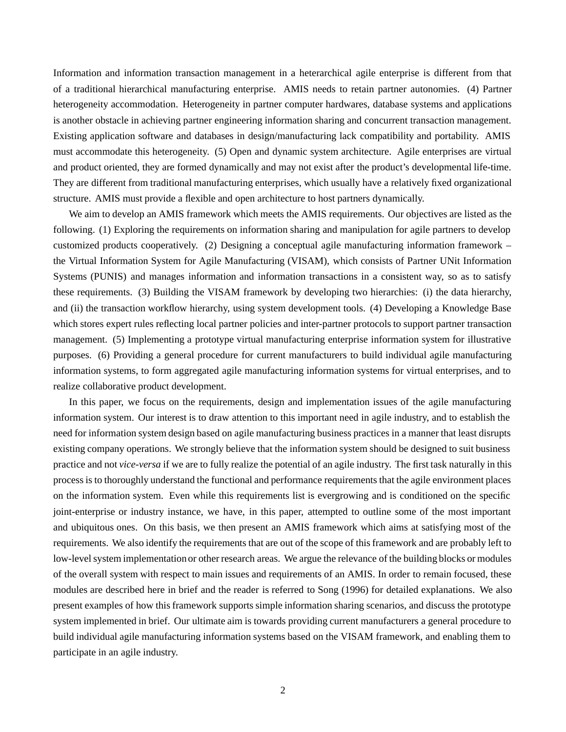Information and information transaction management in a heterarchical agile enterprise is different from that of a traditional hierarchical manufacturing enterprise. AMIS needs to retain partner autonomies. (4) Partner heterogeneity accommodation. Heterogeneity in partner computer hardwares, database systems and applications is another obstacle in achieving partner engineering information sharing and concurrent transaction management. Existing application software and databases in design/manufacturing lack compatibility and portability. AMIS must accommodate this heterogeneity. (5) Open and dynamic system architecture. Agile enterprises are virtual and product oriented, they are formed dynamically and may not exist after the product's developmental life-time. They are different from traditional manufacturing enterprises, which usually have a relatively fixed organizational structure. AMIS must provide a flexible and open architecture to host partners dynamically.

We aim to develop an AMIS framework which meets the AMIS requirements. Our objectives are listed as the following. (1) Exploring the requirements on information sharing and manipulation for agile partners to develop customized products cooperatively. (2) Designing a conceptual agile manufacturing information framework – the Virtual Information System for Agile Manufacturing (VISAM), which consists of Partner UNit Information Systems (PUNIS) and manages information and information transactions in a consistent way, so as to satisfy these requirements. (3) Building the VISAM framework by developing two hierarchies: (i) the data hierarchy, and (ii) the transaction workflow hierarchy, using system development tools. (4) Developing a Knowledge Base which stores expert rules reflecting local partner policies and inter-partner protocols to support partner transaction management. (5) Implementing a prototype virtual manufacturing enterprise information system for illustrative purposes. (6) Providing a general procedure for current manufacturers to build individual agile manufacturing information systems, to form aggregated agile manufacturing information systems for virtual enterprises, and to realize collaborative product development.

In this paper, we focus on the requirements, design and implementation issues of the agile manufacturing information system. Our interest is to draw attention to this important need in agile industry, and to establish the need for information system design based on agile manufacturing business practices in a manner that least disrupts existing company operations. We strongly believe that the information system should be designed to suit business practice and not *vice-versa* if we are to fully realize the potential of an agile industry. The first task naturally in this process is to thoroughly understand the functional and performance requirements that the agile environment places on the information system. Even while this requirements list is evergrowing and is conditioned on the specific joint-enterprise or industry instance, we have, in this paper, attempted to outline some of the most important and ubiquitous ones. On this basis, we then present an AMIS framework which aims at satisfying most of the requirements. We also identify the requirements that are out of the scope of this framework and are probably left to low-level system implementation or other research areas. We argue the relevance of the building blocks or modules of the overall system with respect to main issues and requirements of an AMIS. In order to remain focused, these modules are described here in brief and the reader is referred to Song (1996) for detailed explanations. We also present examples of how this framework supports simple information sharing scenarios, and discuss the prototype system implemented in brief. Our ultimate aim is towards providing current manufacturers a general procedure to build individual agile manufacturing information systems based on the VISAM framework, and enabling them to participate in an agile industry.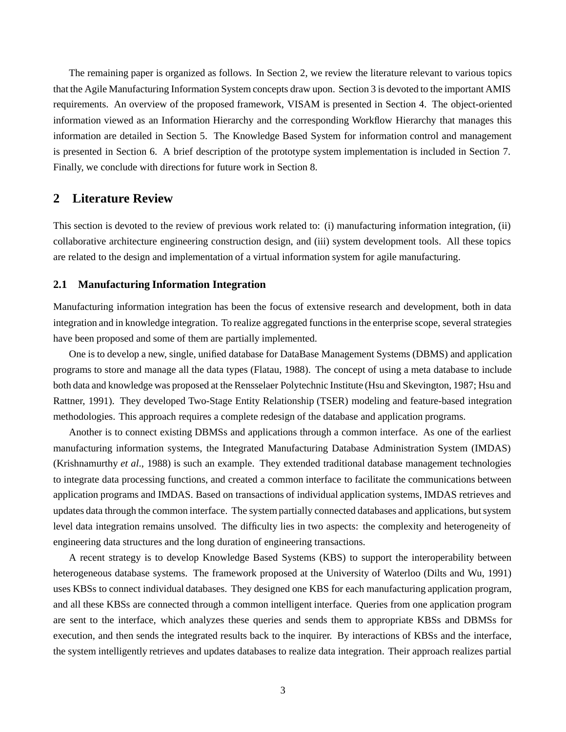The remaining paper is organized as follows. In Section 2, we review the literature relevant to various topics that the Agile Manufacturing Information System concepts draw upon. Section 3 is devoted to the important AMIS requirements. An overview of the proposed framework, VISAM is presented in Section 4. The object-oriented information viewed as an Information Hierarchy and the corresponding Workflow Hierarchy that manages this information are detailed in Section 5. The Knowledge Based System for information control and management is presented in Section 6. A brief description of the prototype system implementation is included in Section 7. Finally, we conclude with directions for future work in Section 8.

# **2 Literature Review**

This section is devoted to the review of previous work related to: (i) manufacturing information integration, (ii) collaborative architecture engineering construction design, and (iii) system development tools. All these topics are related to the design and implementation of a virtual information system for agile manufacturing.

## **2.1 Manufacturing Information Integration**

Manufacturing information integration has been the focus of extensive research and development, both in data integration and in knowledge integration. To realize aggregated functions in the enterprise scope, several strategies have been proposed and some of them are partially implemented.

One is to develop a new, single, unified database for DataBase Management Systems (DBMS) and application programs to store and manage all the data types (Flatau, 1988). The concept of using a meta database to include both data and knowledge was proposed at the Rensselaer Polytechnic Institute (Hsu and Skevington, 1987; Hsu and Rattner, 1991). They developed Two-Stage Entity Relationship (TSER) modeling and feature-based integration methodologies. This approach requires a complete redesign of the database and application programs.

Another is to connect existing DBMSs and applications through a common interface. As one of the earliest manufacturing information systems, the Integrated Manufacturing Database Administration System (IMDAS) (Krishnamurthy *et al*., 1988) is such an example. They extended traditional database management technologies to integrate data processing functions, and created a common interface to facilitate the communications between application programs and IMDAS. Based on transactions of individual application systems, IMDAS retrieves and updates data through the common interface. The system partially connected databases and applications, but system level data integration remains unsolved. The difficulty lies in two aspects: the complexity and heterogeneity of engineering data structures and the long duration of engineering transactions.

A recent strategy is to develop Knowledge Based Systems (KBS) to support the interoperability between heterogeneous database systems. The framework proposed at the University of Waterloo (Dilts and Wu, 1991) uses KBSs to connect individual databases. They designed one KBS for each manufacturing application program, and all these KBSs are connected through a common intelligent interface. Queries from one application program are sent to the interface, which analyzes these queries and sends them to appropriate KBSs and DBMSs for execution, and then sends the integrated results back to the inquirer. By interactions of KBSs and the interface, the system intelligently retrieves and updates databases to realize data integration. Their approach realizes partial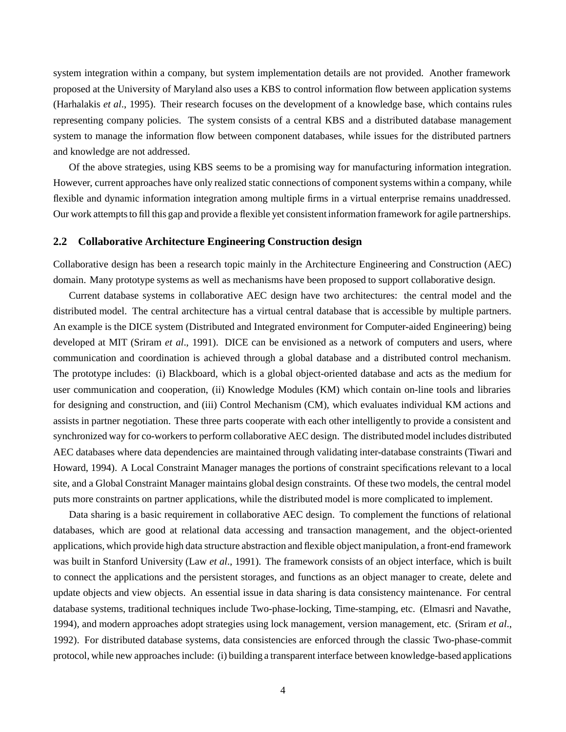system integration within a company, but system implementation details are not provided. Another framework proposed at the University of Maryland also uses a KBS to control information flow between application systems (Harhalakis *et al*., 1995). Their research focuses on the development of a knowledge base, which contains rules representing company policies. The system consists of a central KBS and a distributed database management system to manage the information flow between component databases, while issues for the distributed partners and knowledge are not addressed.

Of the above strategies, using KBS seems to be a promising way for manufacturing information integration. However, current approaches have only realized static connections of component systems within a company, while flexible and dynamic information integration among multiple firms in a virtual enterprise remains unaddressed. Our work attempts to fill this gap and provide a flexible yet consistent information framework for agile partnerships.

#### **2.2 Collaborative Architecture Engineering Construction design**

Collaborative design has been a research topic mainly in the Architecture Engineering and Construction (AEC) domain. Many prototype systems as well as mechanisms have been proposed to support collaborative design.

Current database systems in collaborative AEC design have two architectures: the central model and the distributed model. The central architecture has a virtual central database that is accessible by multiple partners. An example is the DICE system (Distributed and Integrated environment for Computer-aided Engineering) being developed at MIT (Sriram *et al*., 1991). DICE can be envisioned as a network of computers and users, where communication and coordination is achieved through a global database and a distributed control mechanism. The prototype includes: (i) Blackboard, which is a global object-oriented database and acts as the medium for user communication and cooperation, (ii) Knowledge Modules (KM) which contain on-line tools and libraries for designing and construction, and (iii) Control Mechanism (CM), which evaluates individual KM actions and assists in partner negotiation. These three parts cooperate with each other intelligently to provide a consistent and synchronized way for co-workers to perform collaborative AEC design. The distributed model includes distributed AEC databases where data dependencies are maintained through validating inter-database constraints (Tiwari and Howard, 1994). A Local Constraint Manager manages the portions of constraint specifications relevant to a local site, and a Global Constraint Manager maintains global design constraints. Of these two models, the central model puts more constraints on partner applications, while the distributed model is more complicated to implement.

Data sharing is a basic requirement in collaborative AEC design. To complement the functions of relational databases, which are good at relational data accessing and transaction management, and the object-oriented applications, which provide high data structure abstraction and flexible object manipulation, a front-end framework was built in Stanford University (Law *et al*., 1991). The framework consists of an object interface, which is built to connect the applications and the persistent storages, and functions as an object manager to create, delete and update objects and view objects. An essential issue in data sharing is data consistency maintenance. For central database systems, traditional techniques include Two-phase-locking, Time-stamping, etc. (Elmasri and Navathe, 1994), and modern approaches adopt strategies using lock management, version management, etc. (Sriram *et al*., 1992). For distributed database systems, data consistencies are enforced through the classic Two-phase-commit protocol, while new approaches include: (i) building a transparent interface between knowledge-based applications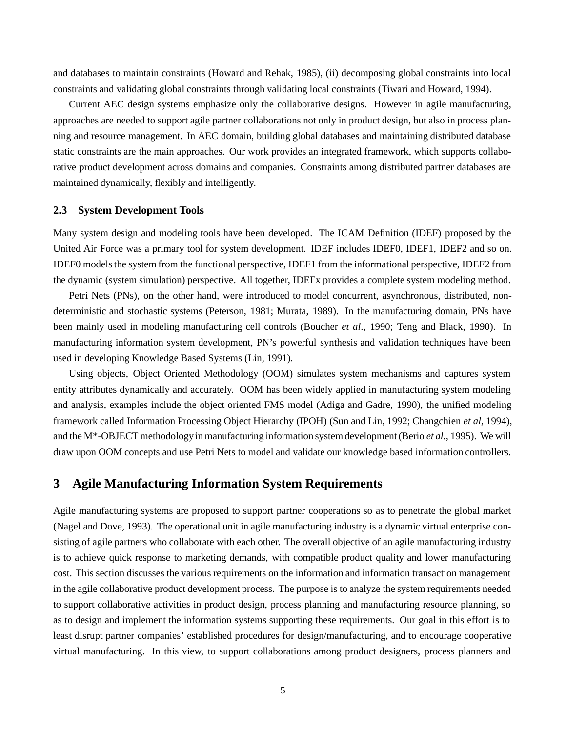and databases to maintain constraints (Howard and Rehak, 1985), (ii) decomposing global constraints into local constraints and validating global constraints through validating local constraints (Tiwari and Howard, 1994).

Current AEC design systems emphasize only the collaborative designs. However in agile manufacturing, approaches are needed to support agile partner collaborations not only in product design, but also in process planning and resource management. In AEC domain, building global databases and maintaining distributed database static constraints are the main approaches. Our work provides an integrated framework, which supports collaborative product development across domains and companies. Constraints among distributed partner databases are maintained dynamically, flexibly and intelligently.

## **2.3 System Development Tools**

Many system design and modeling tools have been developed. The ICAM Definition (IDEF) proposed by the United Air Force was a primary tool for system development. IDEF includes IDEF0, IDEF1, IDEF2 and so on. IDEF0 models the system from the functional perspective, IDEF1 from the informational perspective, IDEF2 from the dynamic (system simulation) perspective. All together, IDEFx provides a complete system modeling method.

Petri Nets (PNs), on the other hand, were introduced to model concurrent, asynchronous, distributed, nondeterministic and stochastic systems (Peterson, 1981; Murata, 1989). In the manufacturing domain, PNs have been mainly used in modeling manufacturing cell controls (Boucher *et al*., 1990; Teng and Black, 1990). In manufacturing information system development, PN's powerful synthesis and validation techniques have been used in developing Knowledge Based Systems (Lin, 1991).

Using objects, Object Oriented Methodology (OOM) simulates system mechanisms and captures system entity attributes dynamically and accurately. OOM has been widely applied in manufacturing system modeling and analysis, examples include the object oriented FMS model (Adiga and Gadre, 1990), the unified modeling framework called Information Processing Object Hierarchy (IPOH) (Sun and Lin, 1992; Changchien *et al*, 1994), and the M\*-OBJECT methodology in manufacturing information system development (Berio *et al.*, 1995). We will draw upon OOM concepts and use Petri Nets to model and validate our knowledge based information controllers.

# **3 Agile Manufacturing Information System Requirements**

Agile manufacturing systems are proposed to support partner cooperations so as to penetrate the global market (Nagel and Dove, 1993). The operational unit in agile manufacturing industry is a dynamic virtual enterprise consisting of agile partners who collaborate with each other. The overall objective of an agile manufacturing industry is to achieve quick response to marketing demands, with compatible product quality and lower manufacturing cost. This section discusses the various requirements on the information and information transaction management in the agile collaborative product development process. The purpose is to analyze the system requirements needed to support collaborative activities in product design, process planning and manufacturing resource planning, so as to design and implement the information systems supporting these requirements. Our goal in this effort is to least disrupt partner companies' established procedures for design/manufacturing, and to encourage cooperative virtual manufacturing. In this view, to support collaborations among product designers, process planners and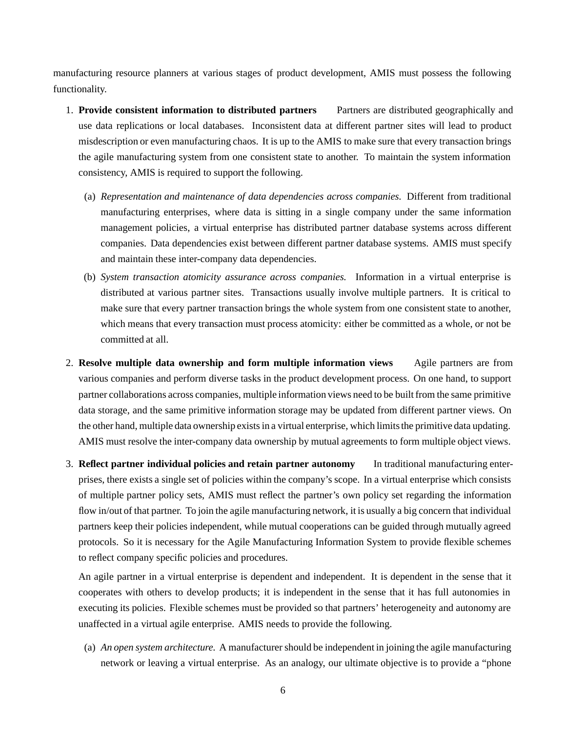manufacturing resource planners at various stages of product development, AMIS must possess the following functionality.

- 1. **Provide consistent information to distributed partners** Partners are distributed geographically and use data replications or local databases. Inconsistent data at different partner sites will lead to product misdescription or even manufacturing chaos. It is up to the AMIS to make sure that every transaction brings the agile manufacturing system from one consistent state to another. To maintain the system information consistency, AMIS is required to support the following.
	- (a) *Representation and maintenance of data dependencies across companies.* Different from traditional manufacturing enterprises, where data is sitting in a single company under the same information management policies, a virtual enterprise has distributed partner database systems across different companies. Data dependencies exist between different partner database systems. AMIS must specify and maintain these inter-company data dependencies.
	- (b) *System transaction atomicity assurance across companies.* Information in a virtual enterprise is distributed at various partner sites. Transactions usually involve multiple partners. It is critical to make sure that every partner transaction brings the whole system from one consistent state to another, which means that every transaction must process atomicity: either be committed as a whole, or not be committed at all.
- 2. **Resolve multiple data ownership and form multiple information views** Agile partners are from various companies and perform diverse tasks in the product development process. On one hand, to support partner collaborations across companies, multiple information views need to be built from the same primitive data storage, and the same primitive information storage may be updated from different partner views. On the other hand, multiple data ownership exists in a virtual enterprise, which limits the primitive data updating. AMIS must resolve the inter-company data ownership by mutual agreements to form multiple object views.
- 3. **Reflect partner individual policies and retain partner autonomy** In traditional manufacturing enterprises, there exists a single set of policies within the company's scope. In a virtual enterprise which consists of multiple partner policy sets, AMIS must reflect the partner's own policy set regarding the information flow in/out of that partner. To join the agile manufacturing network, it is usually a big concern that individual partners keep their policies independent, while mutual cooperations can be guided through mutually agreed protocols. So it is necessary for the Agile Manufacturing Information System to provide flexible schemes to reflect company specific policies and procedures.

An agile partner in a virtual enterprise is dependent and independent. It is dependent in the sense that it cooperates with others to develop products; it is independent in the sense that it has full autonomies in executing its policies. Flexible schemes must be provided so that partners' heterogeneity and autonomy are unaffected in a virtual agile enterprise. AMIS needs to provide the following.

(a) *An open system architecture.* A manufacturer should be independent in joining the agile manufacturing network or leaving a virtual enterprise. As an analogy, our ultimate objective is to provide a "phone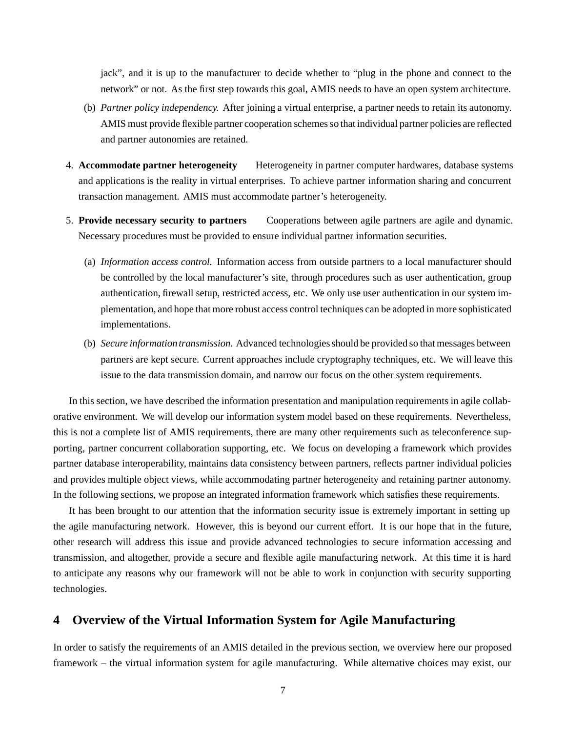jack", and it is up to the manufacturer to decide whether to "plug in the phone and connect to the network" or not. As the first step towards this goal, AMIS needs to have an open system architecture.

- (b) *Partner policy independency.* After joining a virtual enterprise, a partner needs to retain its autonomy. AMIS must provide flexible partner cooperation schemes so that individual partner policies are reflected and partner autonomies are retained.
- 4. **Accommodate partner heterogeneity** Heterogeneity in partner computer hardwares, database systems and applications is the reality in virtual enterprises. To achieve partner information sharing and concurrent transaction management. AMIS must accommodate partner's heterogeneity.
- 5. **Provide necessary security to partners** Cooperations between agile partners are agile and dynamic. Necessary procedures must be provided to ensure individual partner information securities.
	- (a) *Information access control.* Information access from outside partners to a local manufacturer should be controlled by the local manufacturer's site, through procedures such as user authentication, group authentication, firewall setup, restricted access, etc. We only use user authentication in our system implementation, and hope that more robust access control techniques can be adopted in more sophisticated implementations.
	- (b) *Secure information transmission.* Advanced technologies should be provided so that messages between partners are kept secure. Current approaches include cryptography techniques, etc. We will leave this issue to the data transmission domain, and narrow our focus on the other system requirements.

In this section, we have described the information presentation and manipulation requirements in agile collaborative environment. We will develop our information system model based on these requirements. Nevertheless, this is not a complete list of AMIS requirements, there are many other requirements such as teleconference supporting, partner concurrent collaboration supporting, etc. We focus on developing a framework which provides partner database interoperability, maintains data consistency between partners, reflects partner individual policies and provides multiple object views, while accommodating partner heterogeneity and retaining partner autonomy. In the following sections, we propose an integrated information framework which satisfies these requirements.

It has been brought to our attention that the information security issue is extremely important in setting up the agile manufacturing network. However, this is beyond our current effort. It is our hope that in the future, other research will address this issue and provide advanced technologies to secure information accessing and transmission, and altogether, provide a secure and flexible agile manufacturing network. At this time it is hard to anticipate any reasons why our framework will not be able to work in conjunction with security supporting technologies.

# **4 Overview of the Virtual Information System for Agile Manufacturing**

In order to satisfy the requirements of an AMIS detailed in the previous section, we overview here our proposed framework – the virtual information system for agile manufacturing. While alternative choices may exist, our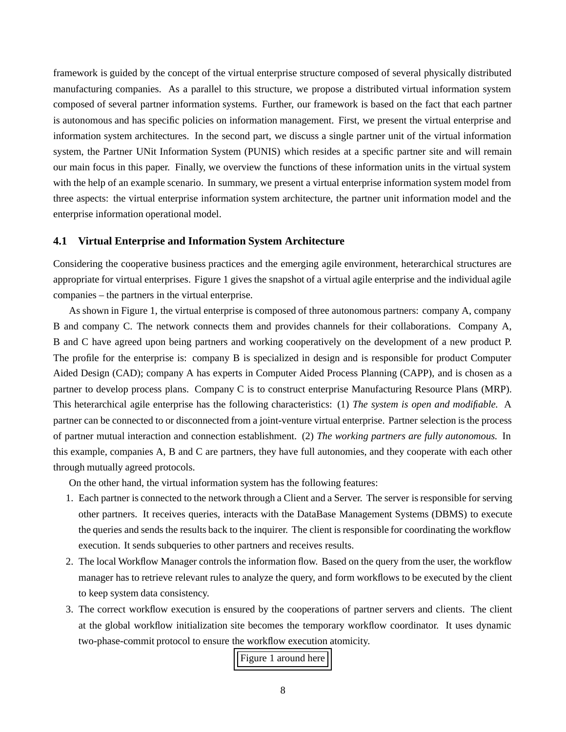framework is guided by the concept of the virtual enterprise structure composed of several physically distributed manufacturing companies. As a parallel to this structure, we propose a distributed virtual information system composed of several partner information systems. Further, our framework is based on the fact that each partner is autonomous and has specific policies on information management. First, we present the virtual enterprise and information system architectures. In the second part, we discuss a single partner unit of the virtual information system, the Partner UNit Information System (PUNIS) which resides at a specific partner site and will remain our main focus in this paper. Finally, we overview the functions of these information units in the virtual system with the help of an example scenario. In summary, we present a virtual enterprise information system model from three aspects: the virtual enterprise information system architecture, the partner unit information model and the enterprise information operational model.

## **4.1 Virtual Enterprise and Information System Architecture**

Considering the cooperative business practices and the emerging agile environment, heterarchical structures are appropriate for virtual enterprises. Figure 1 gives the snapshot of a virtual agile enterprise and the individual agile companies – the partners in the virtual enterprise.

As shown in Figure 1, the virtual enterprise is composed of three autonomous partners: company A, company B and company C. The network connects them and provides channels for their collaborations. Company A, B and C have agreed upon being partners and working cooperatively on the development of a new product P. The profile for the enterprise is: company B is specialized in design and is responsible for product Computer Aided Design (CAD); company A has experts in Computer Aided Process Planning (CAPP), and is chosen as a partner to develop process plans. Company C is to construct enterprise Manufacturing Resource Plans (MRP). This heterarchical agile enterprise has the following characteristics: (1) *The system is open and modifiable.* A partner can be connected to or disconnected from a joint-venture virtual enterprise. Partner selection is the process of partner mutual interaction and connection establishment. (2) *The working partners are fully autonomous.* In this example, companies A, B and C are partners, they have full autonomies, and they cooperate with each other through mutually agreed protocols.

On the other hand, the virtual information system has the following features:

- 1. Each partner is connected to the network through a Client and a Server. The server is responsible for serving other partners. It receives queries, interacts with the DataBase Management Systems (DBMS) to execute the queries and sends the results back to the inquirer. The client is responsible for coordinating the workflow execution. It sends subqueries to other partners and receives results.
- 2. The local Workflow Manager controls the information flow. Based on the query from the user, the workflow manager has to retrieve relevant rules to analyze the query, and form workflows to be executed by the client to keep system data consistency.
- 3. The correct workflow execution is ensured by the cooperations of partner servers and clients. The client at the global workflow initialization site becomes the temporary workflow coordinator. It uses dynamic two-phase-commit protocol to ensure the workflow execution atomicity.

Figure 1 around here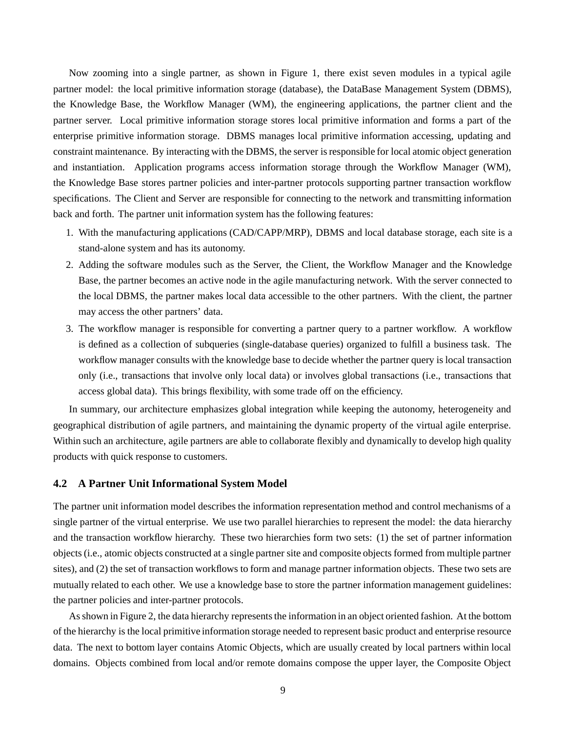Now zooming into a single partner, as shown in Figure 1, there exist seven modules in a typical agile partner model: the local primitive information storage (database), the DataBase Management System (DBMS), the Knowledge Base, the Workflow Manager (WM), the engineering applications, the partner client and the partner server. Local primitive information storage stores local primitive information and forms a part of the enterprise primitive information storage. DBMS manages local primitive information accessing, updating and constraint maintenance. By interacting with the DBMS, the server is responsible for local atomic object generation and instantiation. Application programs access information storage through the Workflow Manager (WM), the Knowledge Base stores partner policies and inter-partner protocols supporting partner transaction workflow specifications. The Client and Server are responsible for connecting to the network and transmitting information back and forth. The partner unit information system has the following features:

- 1. With the manufacturing applications (CAD/CAPP/MRP), DBMS and local database storage, each site is a stand-alone system and has its autonomy.
- 2. Adding the software modules such as the Server, the Client, the Workflow Manager and the Knowledge Base, the partner becomes an active node in the agile manufacturing network. With the server connected to the local DBMS, the partner makes local data accessible to the other partners. With the client, the partner may access the other partners' data.
- 3. The workflow manager is responsible for converting a partner query to a partner workflow. A workflow is defined as a collection of subqueries (single-database queries) organized to fulfill a business task. The workflow manager consults with the knowledge base to decide whether the partner query is local transaction only (i.e., transactions that involve only local data) or involves global transactions (i.e., transactions that access global data). This brings flexibility, with some trade off on the efficiency.

In summary, our architecture emphasizes global integration while keeping the autonomy, heterogeneity and geographical distribution of agile partners, and maintaining the dynamic property of the virtual agile enterprise. Within such an architecture, agile partners are able to collaborate flexibly and dynamically to develop high quality products with quick response to customers.

## **4.2 A Partner Unit Informational System Model**

The partner unit information model describes the information representation method and control mechanisms of a single partner of the virtual enterprise. We use two parallel hierarchies to represent the model: the data hierarchy and the transaction workflow hierarchy. These two hierarchies form two sets: (1) the set of partner information objects (i.e., atomic objects constructed at a single partner site and composite objects formed from multiple partner sites), and (2) the set of transaction workflows to form and manage partner information objects. These two sets are mutually related to each other. We use a knowledge base to store the partner information management guidelines: the partner policies and inter-partner protocols.

As shown in Figure 2, the data hierarchy represents the information in an object oriented fashion. At the bottom of the hierarchy is the local primitive information storage needed to represent basic product and enterprise resource data. The next to bottom layer contains Atomic Objects, which are usually created by local partners within local domains. Objects combined from local and/or remote domains compose the upper layer, the Composite Object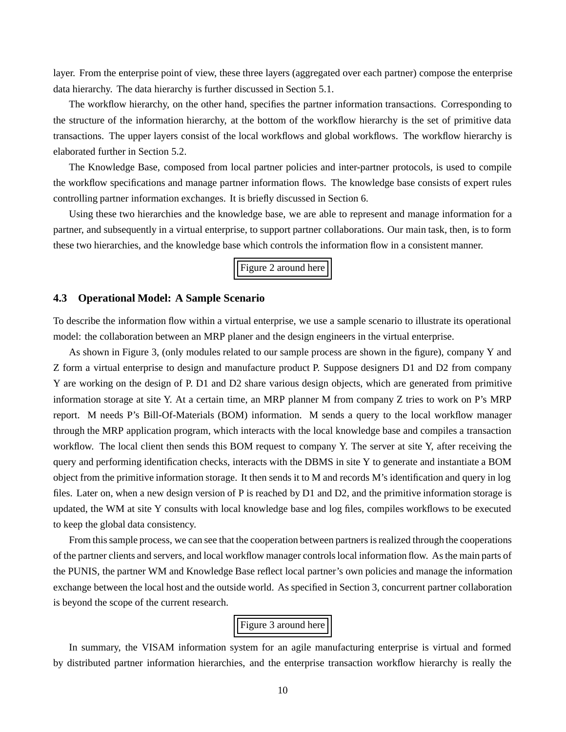layer. From the enterprise point of view, these three layers (aggregated over each partner) compose the enterprise data hierarchy. The data hierarchy is further discussed in Section 5.1.

The workflow hierarchy, on the other hand, specifies the partner information transactions. Corresponding to the structure of the information hierarchy, at the bottom of the workflow hierarchy is the set of primitive data transactions. The upper layers consist of the local workflows and global workflows. The workflow hierarchy is elaborated further in Section 5.2.

The Knowledge Base, composed from local partner policies and inter-partner protocols, is used to compile the workflow specifications and manage partner information flows. The knowledge base consists of expert rules controlling partner information exchanges. It is briefly discussed in Section 6.

Using these two hierarchies and the knowledge base, we are able to represent and manage information for a partner, and subsequently in a virtual enterprise, to support partner collaborations. Our main task, then, is to form these two hierarchies, and the knowledge base which controls the information flow in a consistent manner.

Figure 2 around here

#### **4.3 Operational Model: A Sample Scenario**

To describe the information flow within a virtual enterprise, we use a sample scenario to illustrate its operational model: the collaboration between an MRP planer and the design engineers in the virtual enterprise.

As shown in Figure 3, (only modules related to our sample process are shown in the figure), company Y and Z form a virtual enterprise to design and manufacture product P. Suppose designers D1 and D2 from company Y are working on the design of P. D1 and D2 share various design objects, which are generated from primitive information storage at site Y. At a certain time, an MRP planner M from company Z tries to work on P's MRP report. M needs P's Bill-Of-Materials (BOM) information. M sends a query to the local workflow manager through the MRP application program, which interacts with the local knowledge base and compiles a transaction workflow. The local client then sends this BOM request to company Y. The server at site Y, after receiving the query and performing identification checks, interacts with the DBMS in site Y to generate and instantiate a BOM object from the primitive information storage. It then sends it to M and records M's identification and query in log files. Later on, when a new design version of P is reached by D1 and D2, and the primitive information storage is updated, the WM at site Y consults with local knowledge base and log files, compiles workflows to be executed to keep the global data consistency.

From this sample process, we can see that the cooperation between partners is realized through the cooperations of the partner clients and servers, and local workflow manager controls local information flow. As the main parts of the PUNIS, the partner WM and Knowledge Base reflect local partner's own policies and manage the information exchange between the local host and the outside world. As specified in Section 3, concurrent partner collaboration is beyond the scope of the current research.

# Figure 3 around here

In summary, the VISAM information system for an agile manufacturing enterprise is virtual and formed by distributed partner information hierarchies, and the enterprise transaction workflow hierarchy is really the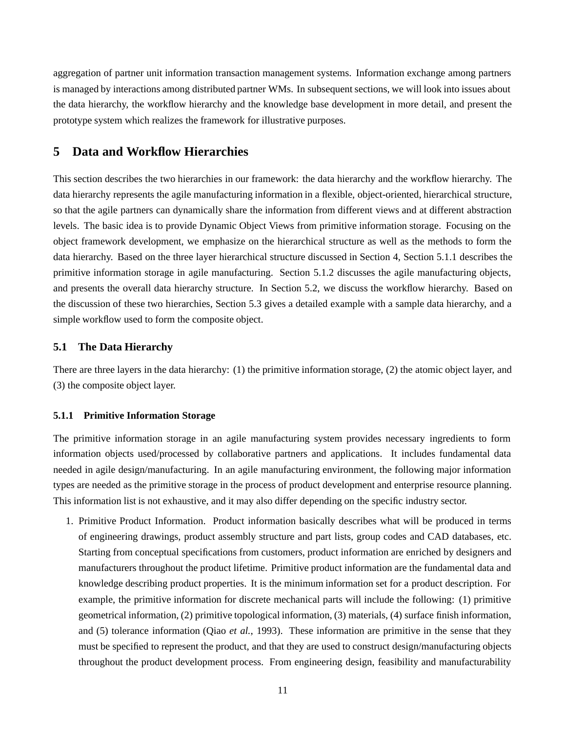aggregation of partner unit information transaction management systems. Information exchange among partners is managed by interactions among distributed partner WMs. In subsequent sections, we will look into issues about the data hierarchy, the workflow hierarchy and the knowledge base development in more detail, and present the prototype system which realizes the framework for illustrative purposes.

# **5 Data and Workflow Hierarchies**

This section describes the two hierarchies in our framework: the data hierarchy and the workflow hierarchy. The data hierarchy represents the agile manufacturing information in a flexible, object-oriented, hierarchical structure, so that the agile partners can dynamically share the information from different views and at different abstraction levels. The basic idea is to provide Dynamic Object Views from primitive information storage. Focusing on the object framework development, we emphasize on the hierarchical structure as well as the methods to form the data hierarchy. Based on the three layer hierarchical structure discussed in Section 4, Section 5.1.1 describes the primitive information storage in agile manufacturing. Section 5.1.2 discusses the agile manufacturing objects, and presents the overall data hierarchy structure. In Section 5.2, we discuss the workflow hierarchy. Based on the discussion of these two hierarchies, Section 5.3 gives a detailed example with a sample data hierarchy, and a simple workflow used to form the composite object.

## **5.1 The Data Hierarchy**

There are three layers in the data hierarchy: (1) the primitive information storage, (2) the atomic object layer, and (3) the composite object layer.

# **5.1.1 Primitive Information Storage**

The primitive information storage in an agile manufacturing system provides necessary ingredients to form information objects used/processed by collaborative partners and applications. It includes fundamental data needed in agile design/manufacturing. In an agile manufacturing environment, the following major information types are needed as the primitive storage in the process of product development and enterprise resource planning. This information list is not exhaustive, and it may also differ depending on the specific industry sector.

1. Primitive Product Information. Product information basically describes what will be produced in terms of engineering drawings, product assembly structure and part lists, group codes and CAD databases, etc. Starting from conceptual specifications from customers, product information are enriched by designers and manufacturers throughout the product lifetime. Primitive product information are the fundamental data and knowledge describing product properties. It is the minimum information set for a product description. For example, the primitive information for discrete mechanical parts will include the following: (1) primitive geometrical information, (2) primitive topological information, (3) materials, (4) surface finish information, and (5) tolerance information (Qiao *et al.*, 1993). These information are primitive in the sense that they must be specified to represent the product, and that they are used to construct design/manufacturing objects throughout the product development process. From engineering design, feasibility and manufacturability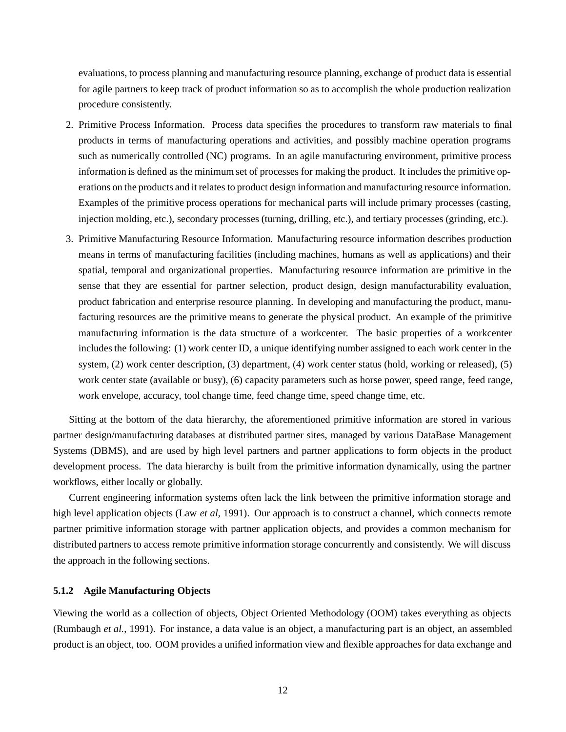evaluations, to process planning and manufacturing resource planning, exchange of product data is essential for agile partners to keep track of product information so as to accomplish the whole production realization procedure consistently.

- 2. Primitive Process Information. Process data specifies the procedures to transform raw materials to final products in terms of manufacturing operations and activities, and possibly machine operation programs such as numerically controlled (NC) programs. In an agile manufacturing environment, primitive process information is defined as the minimum set of processes for making the product. It includes the primitive operations on the products and it relates to product design information and manufacturing resource information. Examples of the primitive process operations for mechanical parts will include primary processes (casting, injection molding, etc.), secondary processes (turning, drilling, etc.), and tertiary processes (grinding, etc.).
- 3. Primitive Manufacturing Resource Information. Manufacturing resource information describes production means in terms of manufacturing facilities (including machines, humans as well as applications) and their spatial, temporal and organizational properties. Manufacturing resource information are primitive in the sense that they are essential for partner selection, product design, design manufacturability evaluation, product fabrication and enterprise resource planning. In developing and manufacturing the product, manufacturing resources are the primitive means to generate the physical product. An example of the primitive manufacturing information is the data structure of a workcenter. The basic properties of a workcenter includes the following: (1) work center ID, a unique identifying number assigned to each work center in the system, (2) work center description, (3) department, (4) work center status (hold, working or released), (5) work center state (available or busy), (6) capacity parameters such as horse power, speed range, feed range, work envelope, accuracy, tool change time, feed change time, speed change time, etc.

Sitting at the bottom of the data hierarchy, the aforementioned primitive information are stored in various partner design/manufacturing databases at distributed partner sites, managed by various DataBase Management Systems (DBMS), and are used by high level partners and partner applications to form objects in the product development process. The data hierarchy is built from the primitive information dynamically, using the partner workflows, either locally or globally.

Current engineering information systems often lack the link between the primitive information storage and high level application objects (Law *et al*, 1991). Our approach is to construct a channel, which connects remote partner primitive information storage with partner application objects, and provides a common mechanism for distributed partners to access remote primitive information storage concurrently and consistently. We will discuss the approach in the following sections.

#### **5.1.2 Agile Manufacturing Objects**

Viewing the world as a collection of objects, Object Oriented Methodology (OOM) takes everything as objects (Rumbaugh *et al.*, 1991). For instance, a data value is an object, a manufacturing part is an object, an assembled product is an object, too. OOM provides a unified information view and flexible approaches for data exchange and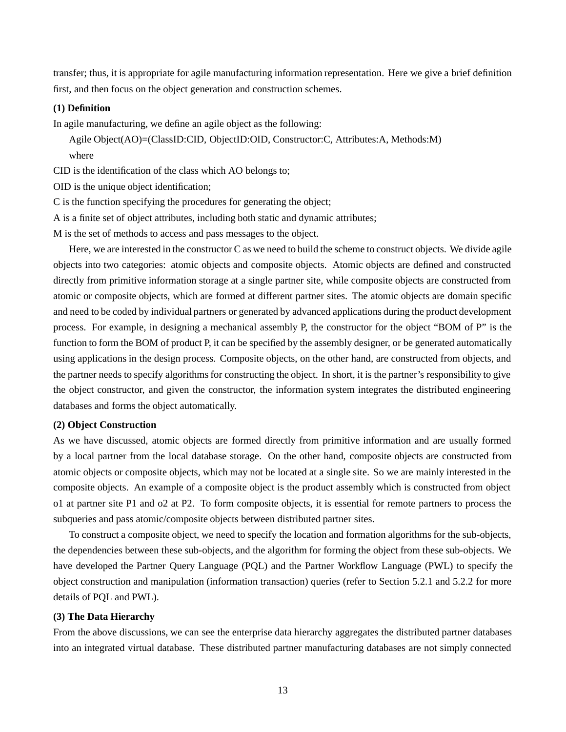transfer; thus, it is appropriate for agile manufacturing information representation. Here we give a brief definition first, and then focus on the object generation and construction schemes.

## **(1) Definition**

In agile manufacturing, we define an agile object as the following:

Agile Object(AO)=(ClassID:CID, ObjectID:OID, Constructor:C, Attributes:A, Methods:M)

where

CID is the identification of the class which AO belongs to;

OID is the unique object identification;

C is the function specifying the procedures for generating the object;

A is a finite set of object attributes, including both static and dynamic attributes;

M is the set of methods to access and pass messages to the object.

Here, we are interested in the constructor C as we need to build the scheme to construct objects. We divide agile objects into two categories: atomic objects and composite objects. Atomic objects are defined and constructed directly from primitive information storage at a single partner site, while composite objects are constructed from atomic or composite objects, which are formed at different partner sites. The atomic objects are domain specific and need to be coded by individual partners or generated by advanced applications during the product development process. For example, in designing a mechanical assembly P, the constructor for the object "BOM of P" is the function to form the BOM of product P, it can be specified by the assembly designer, or be generated automatically using applications in the design process. Composite objects, on the other hand, are constructed from objects, and the partner needs to specify algorithms for constructing the object. In short, it is the partner's responsibility to give the object constructor, and given the constructor, the information system integrates the distributed engineering databases and forms the object automatically.

#### **(2) Object Construction**

As we have discussed, atomic objects are formed directly from primitive information and are usually formed by a local partner from the local database storage. On the other hand, composite objects are constructed from atomic objects or composite objects, which may not be located at a single site. So we are mainly interested in the composite objects. An example of a composite object is the product assembly which is constructed from object o1 at partner site P1 and o2 at P2. To form composite objects, it is essential for remote partners to process the subqueries and pass atomic/composite objects between distributed partner sites.

To construct a composite object, we need to specify the location and formation algorithms for the sub-objects, the dependencies between these sub-objects, and the algorithm for forming the object from these sub-objects. We have developed the Partner Query Language (PQL) and the Partner Workflow Language (PWL) to specify the object construction and manipulation (information transaction) queries (refer to Section 5.2.1 and 5.2.2 for more details of PQL and PWL).

#### **(3) The Data Hierarchy**

From the above discussions, we can see the enterprise data hierarchy aggregates the distributed partner databases into an integrated virtual database. These distributed partner manufacturing databases are not simply connected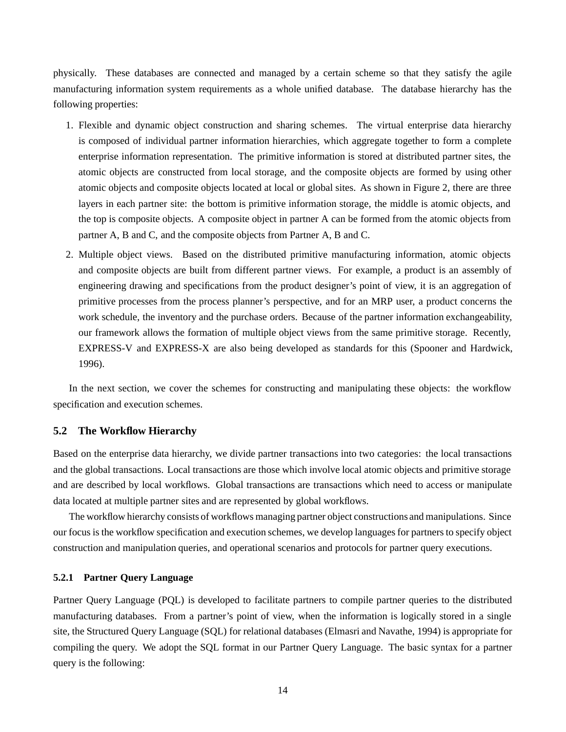physically. These databases are connected and managed by a certain scheme so that they satisfy the agile manufacturing information system requirements as a whole unified database. The database hierarchy has the following properties:

- 1. Flexible and dynamic object construction and sharing schemes. The virtual enterprise data hierarchy is composed of individual partner information hierarchies, which aggregate together to form a complete enterprise information representation. The primitive information is stored at distributed partner sites, the atomic objects are constructed from local storage, and the composite objects are formed by using other atomic objects and composite objects located at local or global sites. As shown in Figure 2, there are three layers in each partner site: the bottom is primitive information storage, the middle is atomic objects, and the top is composite objects. A composite object in partner A can be formed from the atomic objects from partner A, B and C, and the composite objects from Partner A, B and C.
- 2. Multiple object views. Based on the distributed primitive manufacturing information, atomic objects and composite objects are built from different partner views. For example, a product is an assembly of engineering drawing and specifications from the product designer's point of view, it is an aggregation of primitive processes from the process planner's perspective, and for an MRP user, a product concerns the work schedule, the inventory and the purchase orders. Because of the partner information exchangeability, our framework allows the formation of multiple object views from the same primitive storage. Recently, EXPRESS-V and EXPRESS-X are also being developed as standards for this (Spooner and Hardwick, 1996).

In the next section, we cover the schemes for constructing and manipulating these objects: the workflow specification and execution schemes.

#### **5.2 The Workflow Hierarchy**

Based on the enterprise data hierarchy, we divide partner transactions into two categories: the local transactions and the global transactions. Local transactions are those which involve local atomic objects and primitive storage and are described by local workflows. Global transactions are transactions which need to access or manipulate data located at multiple partner sites and are represented by global workflows.

The workflow hierarchy consists of workflows managing partner object constructions and manipulations. Since our focus is the workflow specification and execution schemes, we develop languages for partners to specify object construction and manipulation queries, and operational scenarios and protocols for partner query executions.

#### **5.2.1 Partner Query Language**

Partner Query Language (PQL) is developed to facilitate partners to compile partner queries to the distributed manufacturing databases. From a partner's point of view, when the information is logically stored in a single site, the Structured Query Language (SQL) for relational databases (Elmasri and Navathe, 1994) is appropriate for compiling the query. We adopt the SQL format in our Partner Query Language. The basic syntax for a partner query is the following: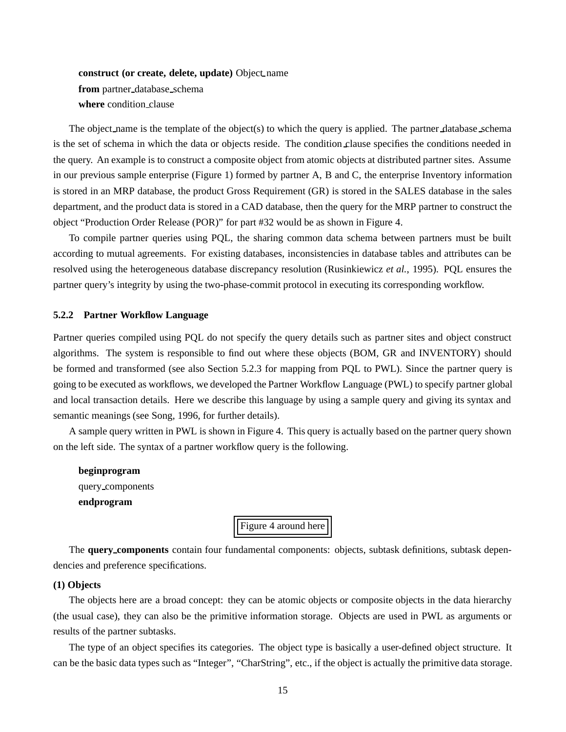**construct (or create, delete, update)** Object name from partner\_database\_schema **where** condition clause

The object name is the template of the object(s) to which the query is applied. The partner database schema is the set of schema in which the data or objects reside. The condition clause specifies the conditions needed in the query. An example is to construct a composite object from atomic objects at distributed partner sites. Assume in our previous sample enterprise (Figure 1) formed by partner A, B and C, the enterprise Inventory information is stored in an MRP database, the product Gross Requirement (GR) is stored in the SALES database in the sales department, and the product data is stored in a CAD database, then the query for the MRP partner to construct the object "Production Order Release (POR)" for part #32 would be as shown in Figure 4.

To compile partner queries using PQL, the sharing common data schema between partners must be built according to mutual agreements. For existing databases, inconsistencies in database tables and attributes can be resolved using the heterogeneous database discrepancy resolution (Rusinkiewicz *et al.*, 1995). PQL ensures the partner query's integrity by using the two-phase-commit protocol in executing its corresponding workflow.

#### **5.2.2 Partner Workflow Language**

Partner queries compiled using PQL do not specify the query details such as partner sites and object construct algorithms. The system is responsible to find out where these objects (BOM, GR and INVENTORY) should be formed and transformed (see also Section 5.2.3 for mapping from PQL to PWL). Since the partner query is going to be executed as workflows, we developed the Partner Workflow Language (PWL) to specify partner global and local transaction details. Here we describe this language by using a sample query and giving its syntax and semantic meanings (see Song, 1996, for further details).

A sample query written in PWL is shown in Figure 4. This query is actually based on the partner query shown on the left side. The syntax of a partner workflow query is the following.

**beginprogram** query components **endprogram**

Figure 4 around here

The **query components** contain four fundamental components: objects, subtask definitions, subtask dependencies and preference specifications.

#### **(1) Objects**

The objects here are a broad concept: they can be atomic objects or composite objects in the data hierarchy (the usual case), they can also be the primitive information storage. Objects are used in PWL as arguments or results of the partner subtasks.

The type of an object specifies its categories. The object type is basically a user-defined object structure. It can be the basic data types such as "Integer", "CharString", etc., if the object is actually the primitive data storage.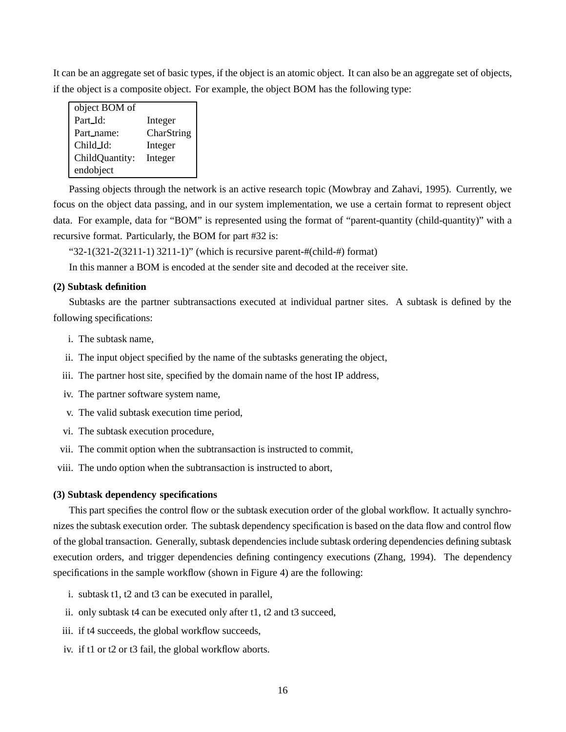It can be an aggregate set of basic types, if the object is an atomic object. It can also be an aggregate set of objects, if the object is a composite object. For example, the object BOM has the following type:

| object BOM of  |            |
|----------------|------------|
| Part_Id:       | Integer    |
| Part_name:     | CharString |
| Child Id:      | Integer    |
| ChildQuantity: | Integer    |
| endobject      |            |

Passing objects through the network is an active research topic (Mowbray and Zahavi, 1995). Currently, we focus on the object data passing, and in our system implementation, we use a certain format to represent object data. For example, data for "BOM" is represented using the format of "parent-quantity (child-quantity)" with a recursive format. Particularly, the BOM for part #32 is:

"32-1(321-2(3211-1) 3211-1)" (which is recursive parent-#(child-#) format)

In this manner a BOM is encoded at the sender site and decoded at the receiver site.

## **(2) Subtask definition**

Subtasks are the partner subtransactions executed at individual partner sites. A subtask is defined by the following specifications:

- i. The subtask name,
- ii. The input object specified by the name of the subtasks generating the object,
- iii. The partner host site, specified by the domain name of the host IP address,
- iv. The partner software system name,
- v. The valid subtask execution time period,
- vi. The subtask execution procedure,
- vii. The commit option when the subtransaction is instructed to commit,
- viii. The undo option when the subtransaction is instructed to abort,

#### **(3) Subtask dependency specifications**

This part specifies the control flow or the subtask execution order of the global workflow. It actually synchronizes the subtask execution order. The subtask dependency specification is based on the data flow and control flow of the global transaction. Generally, subtask dependencies include subtask ordering dependencies defining subtask execution orders, and trigger dependencies defining contingency executions (Zhang, 1994). The dependency specifications in the sample workflow (shown in Figure 4) are the following:

- i. subtask t1, t2 and t3 can be executed in parallel,
- ii. only subtask t4 can be executed only after t1, t2 and t3 succeed,
- iii. if t4 succeeds, the global workflow succeeds,
- iv. if t1 or t2 or t3 fail, the global workflow aborts.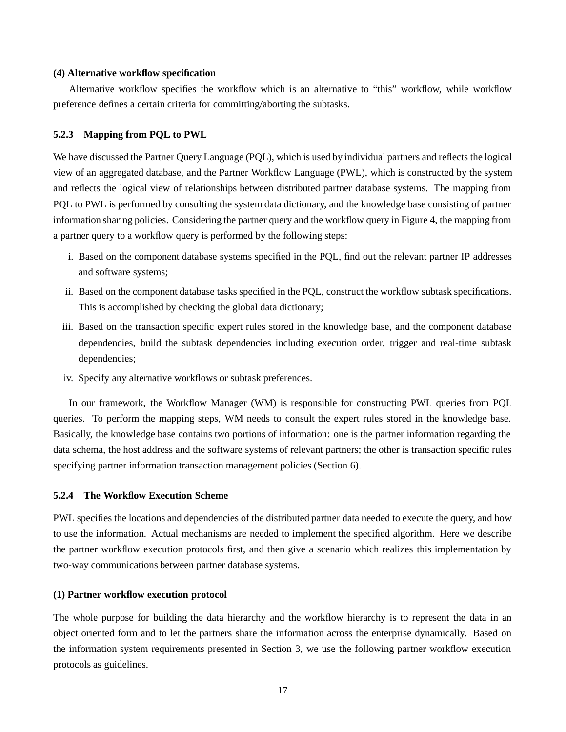#### **(4) Alternative workflow specification**

Alternative workflow specifies the workflow which is an alternative to "this" workflow, while workflow preference defines a certain criteria for committing/aborting the subtasks.

#### **5.2.3 Mapping from PQL to PWL**

We have discussed the Partner Query Language (PQL), which is used by individual partners and reflects the logical view of an aggregated database, and the Partner Workflow Language (PWL), which is constructed by the system and reflects the logical view of relationships between distributed partner database systems. The mapping from PQL to PWL is performed by consulting the system data dictionary, and the knowledge base consisting of partner information sharing policies. Considering the partner query and the workflow query in Figure 4, the mapping from a partner query to a workflow query is performed by the following steps:

- i. Based on the component database systems specified in the PQL, find out the relevant partner IP addresses and software systems;
- ii. Based on the component database tasks specified in the PQL, construct the workflow subtask specifications. This is accomplished by checking the global data dictionary;
- iii. Based on the transaction specific expert rules stored in the knowledge base, and the component database dependencies, build the subtask dependencies including execution order, trigger and real-time subtask dependencies;
- iv. Specify any alternative workflows or subtask preferences.

In our framework, the Workflow Manager (WM) is responsible for constructing PWL queries from PQL queries. To perform the mapping steps, WM needs to consult the expert rules stored in the knowledge base. Basically, the knowledge base contains two portions of information: one is the partner information regarding the data schema, the host address and the software systems of relevant partners; the other is transaction specific rules specifying partner information transaction management policies (Section 6).

#### **5.2.4 The Workflow Execution Scheme**

PWL specifies the locations and dependencies of the distributed partner data needed to execute the query, and how to use the information. Actual mechanisms are needed to implement the specified algorithm. Here we describe the partner workflow execution protocols first, and then give a scenario which realizes this implementation by two-way communications between partner database systems.

#### **(1) Partner workflow execution protocol**

The whole purpose for building the data hierarchy and the workflow hierarchy is to represent the data in an object oriented form and to let the partners share the information across the enterprise dynamically. Based on the information system requirements presented in Section 3, we use the following partner workflow execution protocols as guidelines.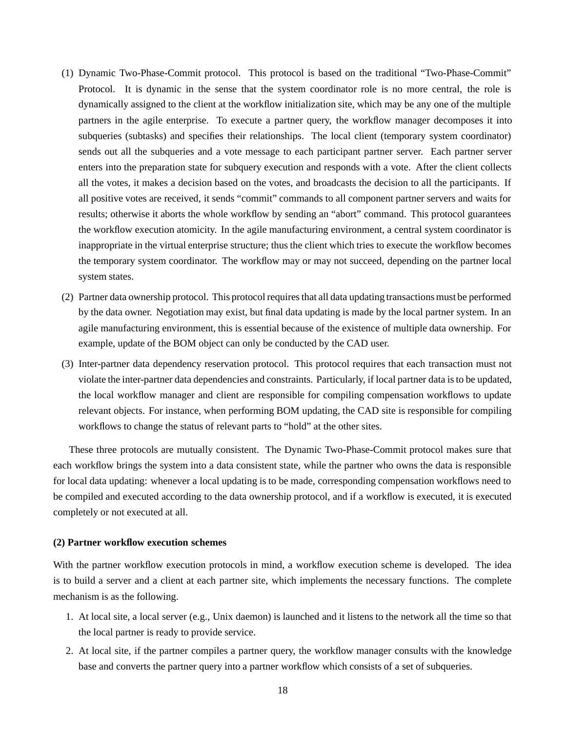- (1) Dynamic Two-Phase-Commit protocol. This protocol is based on the traditional "Two-Phase-Commit" Protocol. It is dynamic in the sense that the system coordinator role is no more central, the role is dynamically assigned to the client at the workflow initialization site, which may be any one of the multiple partners in the agile enterprise. To execute a partner query, the workflow manager decomposes it into subqueries (subtasks) and specifies their relationships. The local client (temporary system coordinator) sends out all the subqueries and a vote message to each participant partner server. Each partner server enters into the preparation state for subquery execution and responds with a vote. After the client collects all the votes, it makes a decision based on the votes, and broadcasts the decision to all the participants. If all positive votes are received, it sends "commit" commands to all component partner servers and waits for results; otherwise it aborts the whole workflow by sending an "abort" command. This protocol guarantees the workflow execution atomicity. In the agile manufacturing environment, a central system coordinator is inappropriate in the virtual enterprise structure; thus the client which tries to execute the workflow becomes the temporary system coordinator. The workflow may or may not succeed, depending on the partner local system states.
- (2) Partner data ownership protocol. This protocol requires that all data updating transactions must be performed by the data owner. Negotiation may exist, but final data updating is made by the local partner system. In an agile manufacturing environment, this is essential because of the existence of multiple data ownership. For example, update of the BOM object can only be conducted by the CAD user.
- (3) Inter-partner data dependency reservation protocol. This protocol requires that each transaction must not violate the inter-partner data dependencies and constraints. Particularly, if local partner data is to be updated, the local workflow manager and client are responsible for compiling compensation workflows to update relevant objects. For instance, when performing BOM updating, the CAD site is responsible for compiling workflows to change the status of relevant parts to "hold" at the other sites.

These three protocols are mutually consistent. The Dynamic Two-Phase-Commit protocol makes sure that each workflow brings the system into a data consistent state, while the partner who owns the data is responsible for local data updating: whenever a local updating is to be made, corresponding compensation workflows need to be compiled and executed according to the data ownership protocol, and if a workflow is executed, it is executed completely or not executed at all.

#### **(2) Partner workflow execution schemes**

With the partner workflow execution protocols in mind, a workflow execution scheme is developed. The idea is to build a server and a client at each partner site, which implements the necessary functions. The complete mechanism is as the following.

- 1. At local site, a local server (e.g., Unix daemon) is launched and it listens to the network all the time so that the local partner is ready to provide service.
- 2. At local site, if the partner compiles a partner query, the workflow manager consults with the knowledge base and converts the partner query into a partner workflow which consists of a set of subqueries.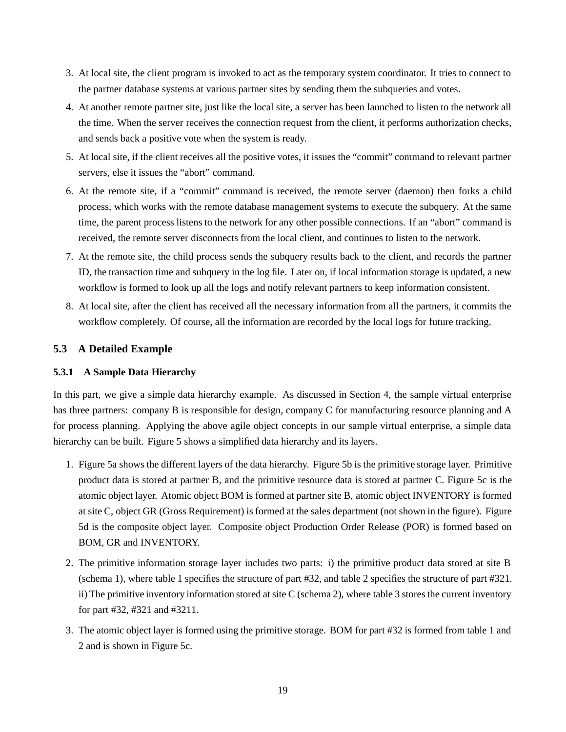- 3. At local site, the client program is invoked to act as the temporary system coordinator. It tries to connect to the partner database systems at various partner sites by sending them the subqueries and votes.
- 4. At another remote partner site, just like the local site, a server has been launched to listen to the network all the time. When the server receives the connection request from the client, it performs authorization checks, and sends back a positive vote when the system is ready.
- 5. At local site, if the client receives all the positive votes, it issues the "commit" command to relevant partner servers, else it issues the "abort" command.
- 6. At the remote site, if a "commit" command is received, the remote server (daemon) then forks a child process, which works with the remote database management systems to execute the subquery. At the same time, the parent process listens to the network for any other possible connections. If an "abort" command is received, the remote server disconnects from the local client, and continues to listen to the network.
- 7. At the remote site, the child process sends the subquery results back to the client, and records the partner ID, the transaction time and subquery in the log file. Later on, if local information storage is updated, a new workflow is formed to look up all the logs and notify relevant partners to keep information consistent.
- 8. At local site, after the client has received all the necessary information from all the partners, it commits the workflow completely. Of course, all the information are recorded by the local logs for future tracking.

# **5.3 A Detailed Example**

# **5.3.1 A Sample Data Hierarchy**

In this part, we give a simple data hierarchy example. As discussed in Section 4, the sample virtual enterprise has three partners: company B is responsible for design, company C for manufacturing resource planning and A for process planning. Applying the above agile object concepts in our sample virtual enterprise, a simple data hierarchy can be built. Figure 5 shows a simplified data hierarchy and its layers.

- 1. Figure 5a shows the different layers of the data hierarchy. Figure 5b is the primitive storage layer. Primitive product data is stored at partner B, and the primitive resource data is stored at partner C. Figure 5c is the atomic object layer. Atomic object BOM is formed at partner site B, atomic object INVENTORY is formed at site C, object GR (Gross Requirement) is formed at the sales department (not shown in the figure). Figure 5d is the composite object layer. Composite object Production Order Release (POR) is formed based on BOM, GR and INVENTORY.
- 2. The primitive information storage layer includes two parts: i) the primitive product data stored at site B (schema 1), where table 1 specifies the structure of part #32, and table 2 specifies the structure of part #321. ii) The primitive inventory information stored at site C (schema 2), where table 3 stores the current inventory for part #32, #321 and #3211.
- 3. The atomic object layer is formed using the primitive storage. BOM for part #32 is formed from table 1 and 2 and is shown in Figure 5c.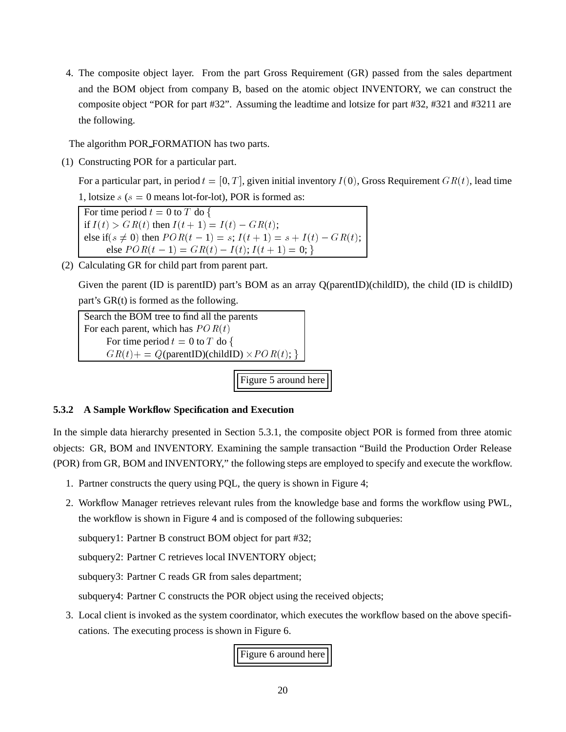4. The composite object layer. From the part Gross Requirement (GR) passed from the sales department and the BOM object from company B, based on the atomic object INVENTORY, we can construct the composite object "POR for part #32". Assuming the leadtime and lotsize for part #32, #321 and #3211 are the following.

The algorithm POR FORMATION has two parts.

(1) Constructing POR for a particular part.

For a particular part, in period  $t = [0, T]$ , given initial inventory  $I(0)$ , Gross Requirement  $GR(t)$ , lead time 1, lotsize  $s$  ( $s = 0$  means lot-for-lot), POR is formed as:

For time period  $t = 0$  to T do { if  $I(t) > GR(t)$  then  $I(t + 1) = I(t) - GR(t)$ ; else if  $(s \neq 0)$  then  $POR(t - 1) = s$ ;  $I(t + 1) = s + I(t) - GR(t)$ ; else  $POR(t - 1) = GR(t) - I(t); I(t + 1) = 0;$ 

(2) Calculating GR for child part from parent part.

Given the parent (ID is parentID) part's BOM as an array Q(parentID)(childID), the child (ID is childID) part's GR(t) is formed as the following.

Search the BOM tree to find all the parents For each parent, which has  $POR(t)$ For time period  $t = 0$  to T do {  $GR(t)$  + = Q(parentID)(childID)  $\times POR(t)$ ; }

Figure 5 around here

#### **5.3.2 A Sample Workflow Specification and Execution**

In the simple data hierarchy presented in Section 5.3.1, the composite object POR is formed from three atomic objects: GR, BOM and INVENTORY. Examining the sample transaction "Build the Production Order Release (POR) from GR, BOM and INVENTORY," the following steps are employed to specify and execute the workflow.

- 1. Partner constructs the query using PQL, the query is shown in Figure 4;
- 2. Workflow Manager retrieves relevant rules from the knowledge base and forms the workflow using PWL, the workflow is shown in Figure 4 and is composed of the following subqueries:

subquery1: Partner B construct BOM object for part #32;

subquery2: Partner C retrieves local INVENTORY object;

subquery3: Partner C reads GR from sales department;

subquery4: Partner C constructs the POR object using the received objects;

3. Local client is invoked as the system coordinator, which executes the workflow based on the above specifications. The executing process is shown in Figure 6.

Figure 6 around here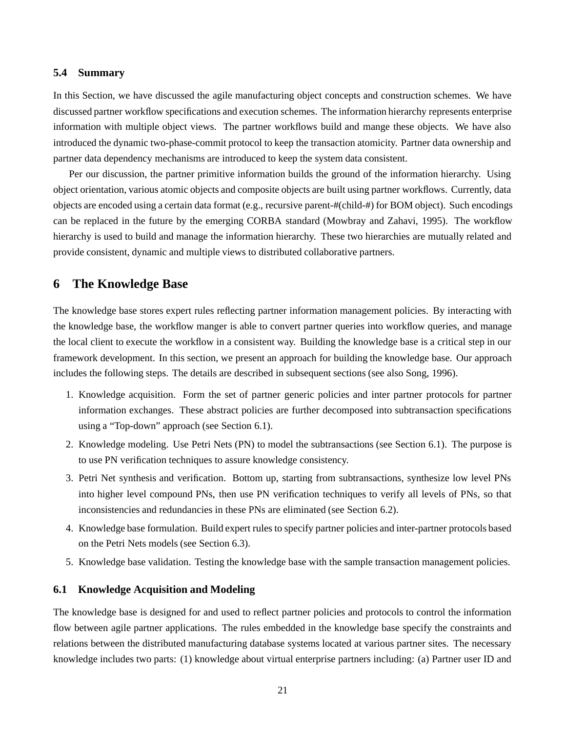## **5.4 Summary**

In this Section, we have discussed the agile manufacturing object concepts and construction schemes. We have discussed partner workflow specifications and execution schemes. The information hierarchy represents enterprise information with multiple object views. The partner workflows build and mange these objects. We have also introduced the dynamic two-phase-commit protocol to keep the transaction atomicity. Partner data ownership and partner data dependency mechanisms are introduced to keep the system data consistent.

Per our discussion, the partner primitive information builds the ground of the information hierarchy. Using object orientation, various atomic objects and composite objects are built using partner workflows. Currently, data objects are encoded using a certain data format (e.g., recursive parent-#(child-#) for BOM object). Such encodings can be replaced in the future by the emerging CORBA standard (Mowbray and Zahavi, 1995). The workflow hierarchy is used to build and manage the information hierarchy. These two hierarchies are mutually related and provide consistent, dynamic and multiple views to distributed collaborative partners.

# **6 The Knowledge Base**

The knowledge base stores expert rules reflecting partner information management policies. By interacting with the knowledge base, the workflow manger is able to convert partner queries into workflow queries, and manage the local client to execute the workflow in a consistent way. Building the knowledge base is a critical step in our framework development. In this section, we present an approach for building the knowledge base. Our approach includes the following steps. The details are described in subsequent sections (see also Song, 1996).

- 1. Knowledge acquisition. Form the set of partner generic policies and inter partner protocols for partner information exchanges. These abstract policies are further decomposed into subtransaction specifications using a "Top-down" approach (see Section 6.1).
- 2. Knowledge modeling. Use Petri Nets (PN) to model the subtransactions (see Section 6.1). The purpose is to use PN verification techniques to assure knowledge consistency.
- 3. Petri Net synthesis and verification. Bottom up, starting from subtransactions, synthesize low level PNs into higher level compound PNs, then use PN verification techniques to verify all levels of PNs, so that inconsistencies and redundancies in these PNs are eliminated (see Section 6.2).
- 4. Knowledge base formulation. Build expert rules to specify partner policies and inter-partner protocols based on the Petri Nets models (see Section 6.3).
- 5. Knowledge base validation. Testing the knowledge base with the sample transaction management policies.

# **6.1 Knowledge Acquisition and Modeling**

The knowledge base is designed for and used to reflect partner policies and protocols to control the information flow between agile partner applications. The rules embedded in the knowledge base specify the constraints and relations between the distributed manufacturing database systems located at various partner sites. The necessary knowledge includes two parts: (1) knowledge about virtual enterprise partners including: (a) Partner user ID and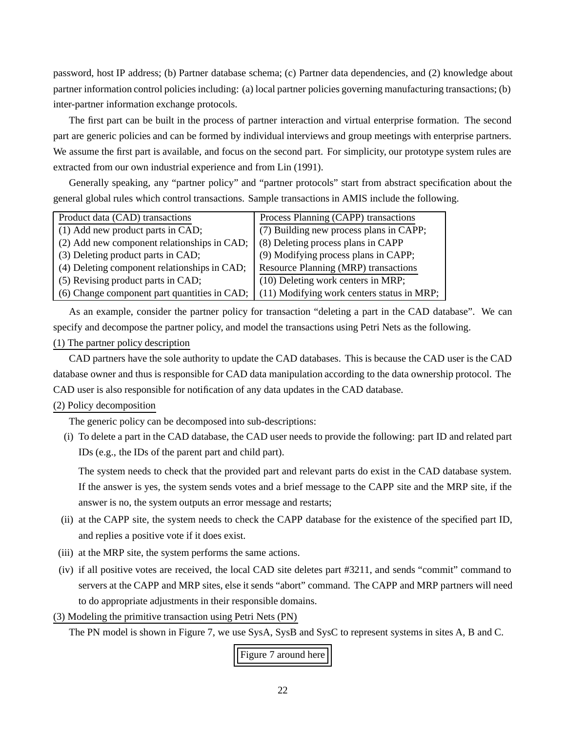password, host IP address; (b) Partner database schema; (c) Partner data dependencies, and (2) knowledge about partner information control policies including: (a) local partner policies governing manufacturing transactions; (b) inter-partner information exchange protocols.

The first part can be built in the process of partner interaction and virtual enterprise formation. The second part are generic policies and can be formed by individual interviews and group meetings with enterprise partners. We assume the first part is available, and focus on the second part. For simplicity, our prototype system rules are extracted from our own industrial experience and from Lin (1991).

Generally speaking, any "partner policy" and "partner protocols" start from abstract specification about the general global rules which control transactions. Sample transactions in AMIS include the following.

| Product data (CAD) transactions              | Process Planning (CAPP) transactions       |
|----------------------------------------------|--------------------------------------------|
| (1) Add new product parts in CAD;            | (7) Building new process plans in CAPP;    |
| (2) Add new component relationships in CAD;  | (8) Deleting process plans in CAPP         |
| (3) Deleting product parts in CAD;           | (9) Modifying process plans in CAPP;       |
| (4) Deleting component relationships in CAD; | Resource Planning (MRP) transactions       |
| (5) Revising product parts in CAD;           | (10) Deleting work centers in MRP;         |
| (6) Change component part quantities in CAD; | (11) Modifying work centers status in MRP; |

As an example, consider the partner policy for transaction "deleting a part in the CAD database". We can specify and decompose the partner policy, and model the transactions using Petri Nets as the following. (1) The partner policy description

CAD partners have the sole authority to update the CAD databases. This is because the CAD user is the CAD database owner and thus is responsible for CAD data manipulation according to the data ownership protocol. The CAD user is also responsible for notification of any data updates in the CAD database.

#### (2) Policy decomposition

The generic policy can be decomposed into sub-descriptions:

(i) To delete a part in the CAD database, the CAD user needs to provide the following: part ID and related part IDs (e.g., the IDs of the parent part and child part).

The system needs to check that the provided part and relevant parts do exist in the CAD database system. If the answer is yes, the system sends votes and a brief message to the CAPP site and the MRP site, if the answer is no, the system outputs an error message and restarts;

- (ii) at the CAPP site, the system needs to check the CAPP database for the existence of the specified part ID, and replies a positive vote if it does exist.
- (iii) at the MRP site, the system performs the same actions.
- (iv) if all positive votes are received, the local CAD site deletes part #3211, and sends "commit" command to servers at the CAPP and MRP sites, else it sends "abort" command. The CAPP and MRP partners will need to do appropriate adjustments in their responsible domains.
- (3) Modeling the primitive transaction using Petri Nets (PN)

The PN model is shown in Figure 7, we use SysA, SysB and SysC to represent systems in sites A, B and C.

Figure 7 around here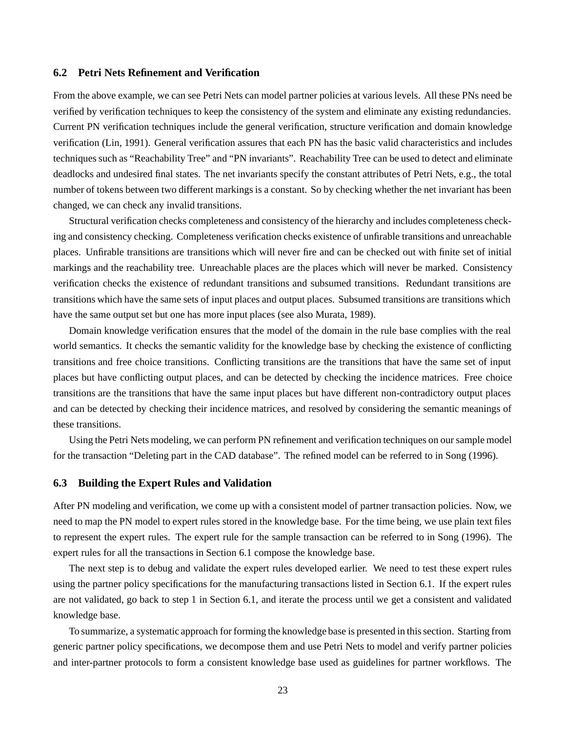#### **6.2 Petri Nets Refinement and Verification**

From the above example, we can see Petri Nets can model partner policies at various levels. All these PNs need be verified by verification techniques to keep the consistency of the system and eliminate any existing redundancies. Current PN verification techniques include the general verification, structure verification and domain knowledge verification (Lin, 1991). General verification assures that each PN has the basic valid characteristics and includes techniques such as "Reachability Tree" and "PN invariants". Reachability Tree can be used to detect and eliminate deadlocks and undesired final states. The net invariants specify the constant attributes of Petri Nets, e.g., the total number of tokens between two different markings is a constant. So by checking whether the net invariant has been changed, we can check any invalid transitions.

Structural verification checks completeness and consistency of the hierarchy and includes completeness checking and consistency checking. Completeness verification checks existence of unfirable transitions and unreachable places. Unfirable transitions are transitions which will never fire and can be checked out with finite set of initial markings and the reachability tree. Unreachable places are the places which will never be marked. Consistency verification checks the existence of redundant transitions and subsumed transitions. Redundant transitions are transitions which have the same sets of input places and output places. Subsumed transitions are transitions which have the same output set but one has more input places (see also Murata, 1989).

Domain knowledge verification ensures that the model of the domain in the rule base complies with the real world semantics. It checks the semantic validity for the knowledge base by checking the existence of conflicting transitions and free choice transitions. Conflicting transitions are the transitions that have the same set of input places but have conflicting output places, and can be detected by checking the incidence matrices. Free choice transitions are the transitions that have the same input places but have different non-contradictory output places and can be detected by checking their incidence matrices, and resolved by considering the semantic meanings of these transitions.

Using the Petri Nets modeling, we can perform PN refinement and verification techniques on our sample model for the transaction "Deleting part in the CAD database". The refined model can be referred to in Song (1996).

#### **6.3 Building the Expert Rules and Validation**

After PN modeling and verification, we come up with a consistent model of partner transaction policies. Now, we need to map the PN model to expert rules stored in the knowledge base. For the time being, we use plain text files to represent the expert rules. The expert rule for the sample transaction can be referred to in Song (1996). The expert rules for all the transactions in Section 6.1 compose the knowledge base.

The next step is to debug and validate the expert rules developed earlier. We need to test these expert rules using the partner policy specifications for the manufacturing transactions listed in Section 6.1. If the expert rules are not validated, go back to step 1 in Section 6.1, and iterate the process until we get a consistent and validated knowledge base.

To summarize, a systematic approach for forming the knowledge base is presented in this section. Starting from generic partner policy specifications, we decompose them and use Petri Nets to model and verify partner policies and inter-partner protocols to form a consistent knowledge base used as guidelines for partner workflows. The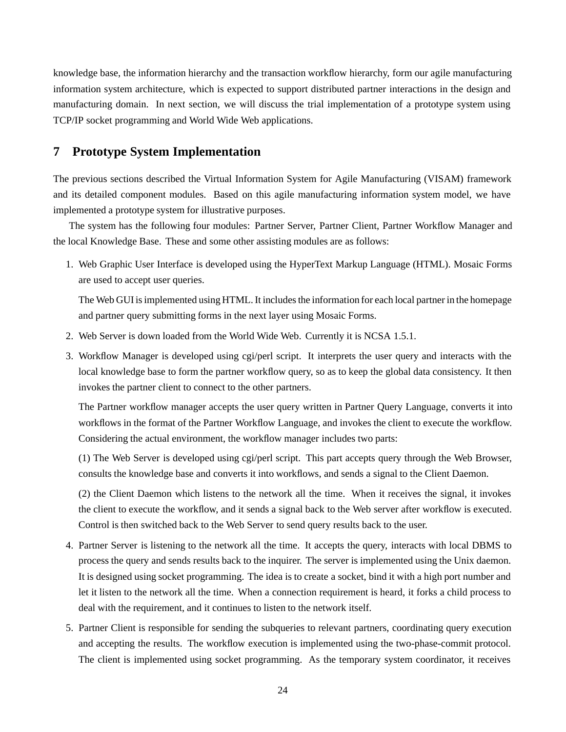knowledge base, the information hierarchy and the transaction workflow hierarchy, form our agile manufacturing information system architecture, which is expected to support distributed partner interactions in the design and manufacturing domain. In next section, we will discuss the trial implementation of a prototype system using TCP/IP socket programming and World Wide Web applications.

# **7 Prototype System Implementation**

The previous sections described the Virtual Information System for Agile Manufacturing (VISAM) framework and its detailed component modules. Based on this agile manufacturing information system model, we have implemented a prototype system for illustrative purposes.

The system has the following four modules: Partner Server, Partner Client, Partner Workflow Manager and the local Knowledge Base. These and some other assisting modules are as follows:

1. Web Graphic User Interface is developed using the HyperText Markup Language (HTML). Mosaic Forms are used to accept user queries.

The Web GUI is implemented using HTML. It includes the information for each local partner in the homepage and partner query submitting forms in the next layer using Mosaic Forms.

- 2. Web Server is down loaded from the World Wide Web. Currently it is NCSA 1.5.1.
- 3. Workflow Manager is developed using cgi/perl script. It interprets the user query and interacts with the local knowledge base to form the partner workflow query, so as to keep the global data consistency. It then invokes the partner client to connect to the other partners.

The Partner workflow manager accepts the user query written in Partner Query Language, converts it into workflows in the format of the Partner Workflow Language, and invokes the client to execute the workflow. Considering the actual environment, the workflow manager includes two parts:

(1) The Web Server is developed using cgi/perl script. This part accepts query through the Web Browser, consults the knowledge base and converts it into workflows, and sends a signal to the Client Daemon.

(2) the Client Daemon which listens to the network all the time. When it receives the signal, it invokes the client to execute the workflow, and it sends a signal back to the Web server after workflow is executed. Control is then switched back to the Web Server to send query results back to the user.

- 4. Partner Server is listening to the network all the time. It accepts the query, interacts with local DBMS to process the query and sends results back to the inquirer. The server is implemented using the Unix daemon. It is designed using socket programming. The idea is to create a socket, bind it with a high port number and let it listen to the network all the time. When a connection requirement is heard, it forks a child process to deal with the requirement, and it continues to listen to the network itself.
- 5. Partner Client is responsible for sending the subqueries to relevant partners, coordinating query execution and accepting the results. The workflow execution is implemented using the two-phase-commit protocol. The client is implemented using socket programming. As the temporary system coordinator, it receives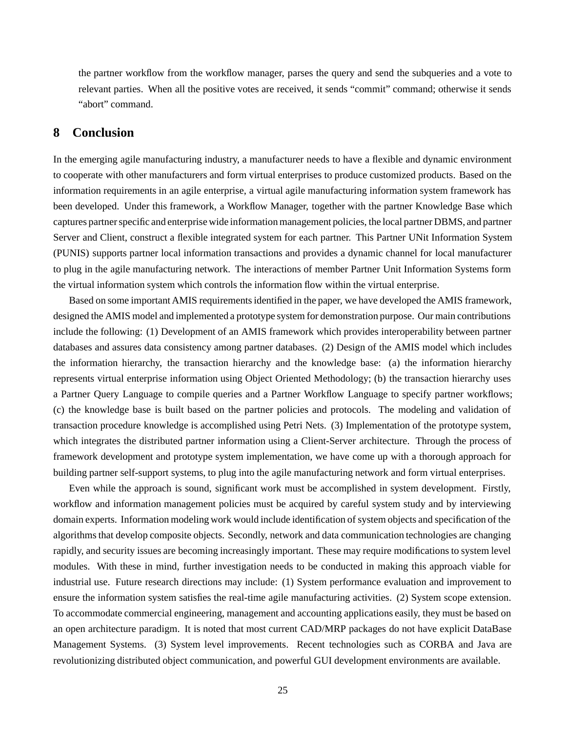the partner workflow from the workflow manager, parses the query and send the subqueries and a vote to relevant parties. When all the positive votes are received, it sends "commit" command; otherwise it sends "abort" command.

# **8 Conclusion**

In the emerging agile manufacturing industry, a manufacturer needs to have a flexible and dynamic environment to cooperate with other manufacturers and form virtual enterprises to produce customized products. Based on the information requirements in an agile enterprise, a virtual agile manufacturing information system framework has been developed. Under this framework, a Workflow Manager, together with the partner Knowledge Base which captures partner specific and enterprise wide information management policies, the local partner DBMS, and partner Server and Client, construct a flexible integrated system for each partner. This Partner UNit Information System (PUNIS) supports partner local information transactions and provides a dynamic channel for local manufacturer to plug in the agile manufacturing network. The interactions of member Partner Unit Information Systems form the virtual information system which controls the information flow within the virtual enterprise.

Based on some important AMIS requirements identified in the paper, we have developed the AMIS framework, designed the AMIS model and implemented a prototype system for demonstration purpose. Our main contributions include the following: (1) Development of an AMIS framework which provides interoperability between partner databases and assures data consistency among partner databases. (2) Design of the AMIS model which includes the information hierarchy, the transaction hierarchy and the knowledge base: (a) the information hierarchy represents virtual enterprise information using Object Oriented Methodology; (b) the transaction hierarchy uses a Partner Query Language to compile queries and a Partner Workflow Language to specify partner workflows; (c) the knowledge base is built based on the partner policies and protocols. The modeling and validation of transaction procedure knowledge is accomplished using Petri Nets. (3) Implementation of the prototype system, which integrates the distributed partner information using a Client-Server architecture. Through the process of framework development and prototype system implementation, we have come up with a thorough approach for building partner self-support systems, to plug into the agile manufacturing network and form virtual enterprises.

Even while the approach is sound, significant work must be accomplished in system development. Firstly, workflow and information management policies must be acquired by careful system study and by interviewing domain experts. Information modeling work would include identification of system objects and specification of the algorithms that develop composite objects. Secondly, network and data communication technologies are changing rapidly, and security issues are becoming increasingly important. These may require modifications to system level modules. With these in mind, further investigation needs to be conducted in making this approach viable for industrial use. Future research directions may include: (1) System performance evaluation and improvement to ensure the information system satisfies the real-time agile manufacturing activities. (2) System scope extension. To accommodate commercial engineering, management and accounting applications easily, they must be based on an open architecture paradigm. It is noted that most current CAD/MRP packages do not have explicit DataBase Management Systems. (3) System level improvements. Recent technologies such as CORBA and Java are revolutionizing distributed object communication, and powerful GUI development environments are available.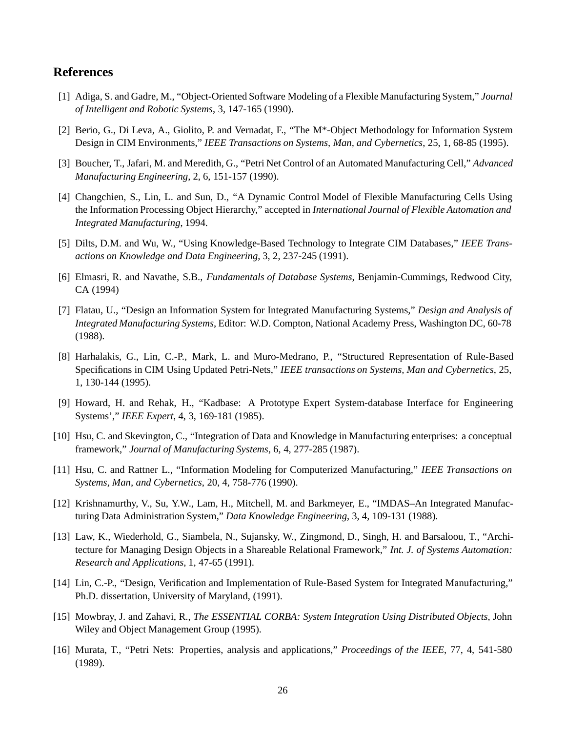# **References**

- [1] Adiga, S. and Gadre, M., "Object-Oriented Software Modeling of a Flexible Manufacturing System," *Journal of Intelligent and Robotic Systems*, 3, 147-165 (1990).
- [2] Berio, G., Di Leva, A., Giolito, P. and Vernadat, F., "The M\*-Object Methodology for Information System Design in CIM Environments," *IEEE Transactions on Systems, Man, and Cybernetics*, 25, 1, 68-85 (1995).
- [3] Boucher, T., Jafari, M. and Meredith, G., "Petri Net Control of an Automated Manufacturing Cell," *Advanced Manufacturing Engineering*, 2, 6, 151-157 (1990).
- [4] Changchien, S., Lin, L. and Sun, D., "A Dynamic Control Model of Flexible Manufacturing Cells Using the Information Processing Object Hierarchy," accepted in *International Journal of Flexible Automation and Integrated Manufacturing*, 1994.
- [5] Dilts, D.M. and Wu, W., "Using Knowledge-Based Technology to Integrate CIM Databases," *IEEE Transactions on Knowledge and Data Engineering*, 3, 2, 237-245 (1991).
- [6] Elmasri, R. and Navathe, S.B., *Fundamentals of Database Systems*, Benjamin-Cummings, Redwood City, CA (1994)
- [7] Flatau, U., "Design an Information System for Integrated Manufacturing Systems," *Design and Analysis of Integrated Manufacturing Systems*, Editor: W.D. Compton, National Academy Press, Washington DC, 60-78 (1988).
- [8] Harhalakis, G., Lin, C.-P., Mark, L. and Muro-Medrano, P., "Structured Representation of Rule-Based Specifications in CIM Using Updated Petri-Nets," *IEEE transactions on Systems, Man and Cybernetics*, 25, 1, 130-144 (1995).
- [9] Howard, H. and Rehak, H., "Kadbase: A Prototype Expert System-database Interface for Engineering Systems'," *IEEE Expert*, 4, 3, 169-181 (1985).
- [10] Hsu, C. and Skevington, C., "Integration of Data and Knowledge in Manufacturing enterprises: a conceptual framework," *Journal of Manufacturing Systems*, 6, 4, 277-285 (1987).
- [11] Hsu, C. and Rattner L., "Information Modeling for Computerized Manufacturing," *IEEE Transactions on Systems, Man, and Cybernetics*, 20, 4, 758-776 (1990).
- [12] Krishnamurthy, V., Su, Y.W., Lam, H., Mitchell, M. and Barkmeyer, E., "IMDAS-An Integrated Manufacturing Data Administration System," *Data Knowledge Engineering*, 3, 4, 109-131 (1988).
- [13] Law, K., Wiederhold, G., Siambela, N., Sujansky, W., Zingmond, D., Singh, H. and Barsaloou, T., "Architecture for Managing Design Objects in a Shareable Relational Framework," *Int. J. of Systems Automation: Research and Applications*, 1, 47-65 (1991).
- [14] Lin, C.-P., "Design, Verification and Implementation of Rule-Based System for Integrated Manufacturing," Ph.D. dissertation, University of Maryland, (1991).
- [15] Mowbray, J. and Zahavi, R., *The ESSENTIAL CORBA: System Integration Using Distributed Objects*, John Wiley and Object Management Group (1995).
- [16] Murata, T., "Petri Nets: Properties, analysis and applications," *Proceedings of the IEEE*, 77, 4, 541-580 (1989).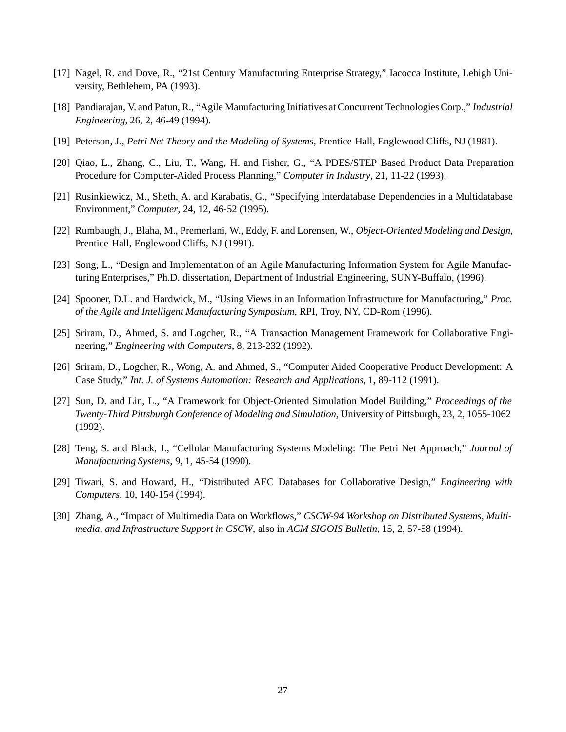- [17] Nagel, R. and Dove, R., "21st Century Manufacturing Enterprise Strategy," Iacocca Institute, Lehigh University, Bethlehem, PA (1993).
- [18] Pandiarajan, V. and Patun, R., "Agile Manufacturing Initiatives at Concurrent Technologies Corp.," *Industrial Engineering*, 26, 2, 46-49 (1994).
- [19] Peterson, J., *Petri Net Theory and the Modeling of Systems*, Prentice-Hall, Englewood Cliffs, NJ (1981).
- [20] Qiao, L., Zhang, C., Liu, T., Wang, H. and Fisher, G., "A PDES/STEP Based Product Data Preparation Procedure for Computer-Aided Process Planning," *Computer in Industry*, 21, 11-22 (1993).
- [21] Rusinkiewicz, M., Sheth, A. and Karabatis, G., "Specifying Interdatabase Dependencies in a Multidatabase Environment," *Computer*, 24, 12, 46-52 (1995).
- [22] Rumbaugh, J., Blaha, M., Premerlani, W., Eddy, F. and Lorensen, W., *Object-Oriented Modeling and Design*, Prentice-Hall, Englewood Cliffs, NJ (1991).
- [23] Song, L., "Design and Implementation of an Agile Manufacturing Information System for Agile Manufacturing Enterprises," Ph.D. dissertation, Department of Industrial Engineering, SUNY-Buffalo, (1996).
- [24] Spooner, D.L. and Hardwick, M., "Using Views in an Information Infrastructure for Manufacturing," *Proc. of the Agile and Intelligent Manufacturing Symposium*, RPI, Troy, NY, CD-Rom (1996).
- [25] Sriram, D., Ahmed, S. and Logcher, R., "A Transaction Management Framework for Collaborative Engineering," *Engineering with Computers*, 8, 213-232 (1992).
- [26] Sriram, D., Logcher, R., Wong, A. and Ahmed, S., "Computer Aided Cooperative Product Development: A Case Study," *Int. J. of Systems Automation: Research and Applications*, 1, 89-112 (1991).
- [27] Sun, D. and Lin, L., "A Framework for Object-Oriented Simulation Model Building," *Proceedings of the Twenty-Third Pittsburgh Conference of Modeling and Simulation*, University of Pittsburgh, 23, 2, 1055-1062 (1992).
- [28] Teng, S. and Black, J., "Cellular Manufacturing Systems Modeling: The Petri Net Approach," *Journal of Manufacturing Systems*, 9, 1, 45-54 (1990).
- [29] Tiwari, S. and Howard, H., "Distributed AEC Databases for Collaborative Design," *Engineering with Computers*, 10, 140-154 (1994).
- [30] Zhang, A., "Impact of Multimedia Data on Workflows," *CSCW-94 Workshop on Distributed Systems, Multimedia, and Infrastructure Support in CSCW*, also in *ACM SIGOIS Bulletin*, 15, 2, 57-58 (1994).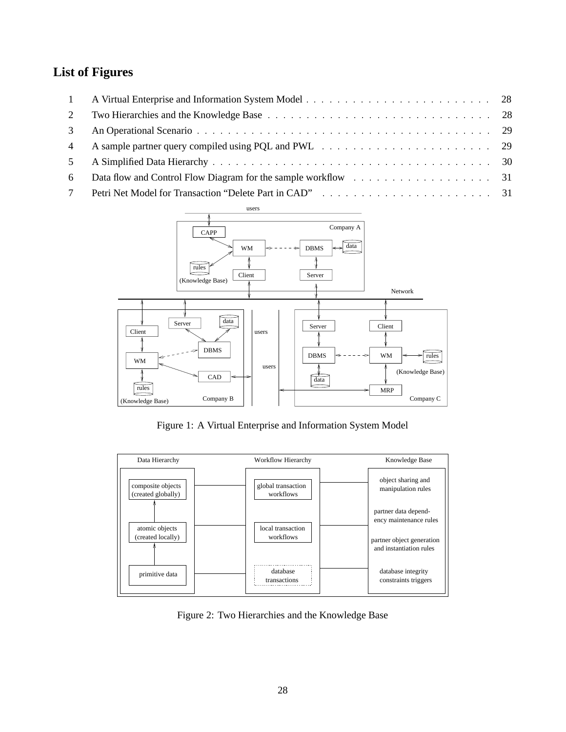# **List of Figures**

| 2             |  |
|---------------|--|
| $\mathcal{E}$ |  |
|               |  |
|               |  |
| 6             |  |
|               |  |



Figure 1: A Virtual Enterprise and Information System Model



Figure 2: Two Hierarchies and the Knowledge Base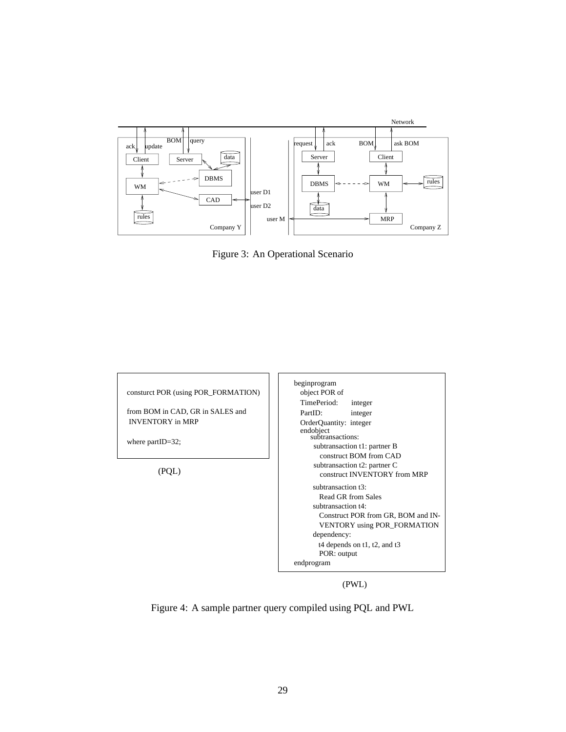

Figure 3: An Operational Scenario

| consturct POR (using POR_FORMATION) | beginprogram<br>object POR of                                              |
|-------------------------------------|----------------------------------------------------------------------------|
| from BOM in CAD, GR in SALES and    | TimePeriod:<br>integer<br>PartID:<br>integer                               |
| <b>INVENTORY</b> in MRP             | OrderQuantity: integer<br>endobject                                        |
| where $partID=32$ ;                 | subtransactions:<br>subtransaction t1: partner B<br>construct BOM from CAD |
| (PQL)                               | subtransaction t2: partner C<br>construct INVENTORY from MRP               |
|                                     | subtransaction t3:<br>Read GR from Sales                                   |
|                                     | subtransaction t4:                                                         |
|                                     | Construct POR from GR, BOM and IN-<br><b>VENTORY using POR_FORMATION</b>   |
|                                     | dependency:                                                                |
|                                     | t4 depends on $t1$ , $t2$ , and $t3$<br>POR: output                        |

(PWL)

Figure 4: A sample partner query compiled using PQL and PWL

endprogram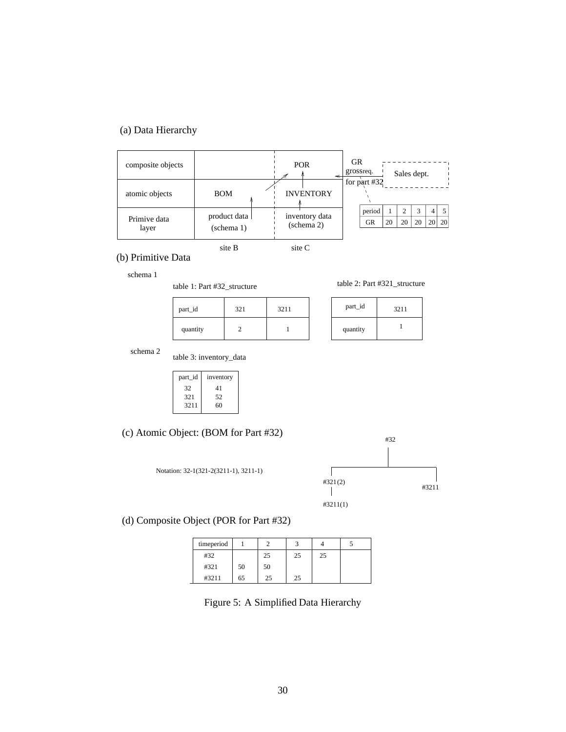# (a) Data Hierarchy



# (b) Primitive Data

schema 1

|  |  | table 1: Part #32 structure |
|--|--|-----------------------------|
|  |  |                             |

| part_id  | 321 | 3211 |
|----------|-----|------|
| quantity |     |      |

| table 1: Part #32 structure | table 2: Part #321 structure |  |  |
|-----------------------------|------------------------------|--|--|
|-----------------------------|------------------------------|--|--|

| 3211 | part_id  | 3211 |
|------|----------|------|
|      | quantity |      |

schema 2

table 3: inventory\_data

| part_id | inventory |
|---------|-----------|
| 32      | 41        |
| 321     | 52        |
| 3211    | 60        |

(c) Atomic Object: (BOM for Part #32)

Notation: 32-1(321-2(3211-1), 3211-1)



(d) Composite Object (POR for Part #32)

| timeperiod |    |    |    |    |  |
|------------|----|----|----|----|--|
| #32        |    | 25 | 25 | 25 |  |
| #321       | 50 | 50 |    |    |  |
| #3211      | 65 | 25 | 25 |    |  |

Figure 5: A Simplified Data Hierarchy